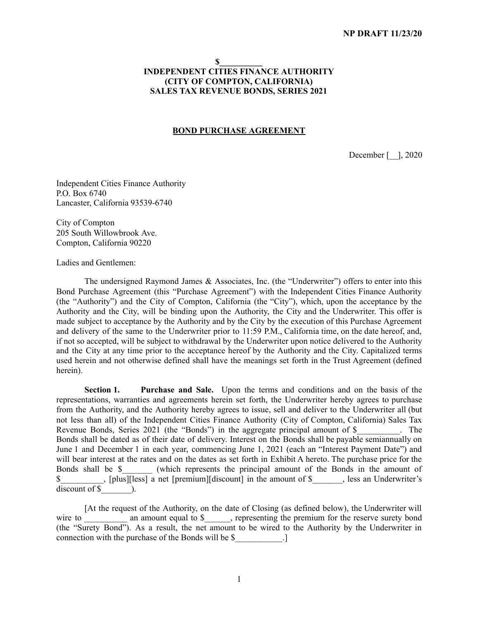### **\$\_\_\_\_\_\_\_\_\_\_ INDEPENDENT CITIES FINANCE AUTHORITY (CITY OF COMPTON, CALIFORNIA) SALES TAX REVENUE BONDS, SERIES 2021**

### **BOND PURCHASE AGREEMENT**

December [ ], 2020

Independent Cities Finance Authority P.O. Box 6740 Lancaster, California 93539-6740

City of Compton 205 South Willowbrook Ave. Compton, California 90220

Ladies and Gentlemen:

The undersigned Raymond James & Associates, Inc. (the "Underwriter") offers to enter into this Bond Purchase Agreement (this "Purchase Agreement") with the Independent Cities Finance Authority (the "Authority") and the City of Compton, California (the "City"), which, upon the acceptance by the Authority and the City, will be binding upon the Authority, the City and the Underwriter. This offer is made subject to acceptance by the Authority and by the City by the execution of this Purchase Agreement and delivery of the same to the Underwriter prior to 11:59 P.M., California time, on the date hereof, and, if not so accepted, will be subject to withdrawal by the Underwriter upon notice delivered to the Authority and the City at any time prior to the acceptance hereof by the Authority and the City. Capitalized terms used herein and not otherwise defined shall have the meanings set forth in the Trust Agreement (defined herein).

**Section 1. Purchase and Sale.** Upon the terms and conditions and on the basis of the representations, warranties and agreements herein set forth, the Underwriter hereby agrees to purchase from the Authority, and the Authority hereby agrees to issue, sell and deliver to the Underwriter all (but not less than all) of the Independent Cities Finance Authority (City of Compton, California) Sales Tax Revenue Bonds, Series 2021 (the "Bonds") in the aggregate principal amount of \$ The Bonds shall be dated as of their date of delivery. Interest on the Bonds shall be payable semiannually on June 1 and December 1 in each year, commencing June 1, 2021 (each an "Interest Payment Date") and will bear interest at the rates and on the dates as set forth in Exhibit A hereto. The purchase price for the Bonds shall be \$ (which represents the principal amount of the Bonds in the amount of  $\$\$ , [plus][less] a net [premium][discount] in the amount of  $\$\$ , less an Underwriter's  $discount of $$   $)$ .

[At the request of the Authority, on the date of Closing (as defined below), the Underwriter will wire to \_\_\_\_\_\_\_\_\_\_ an amount equal to \$\_\_\_\_\_, representing the premium for the reserve surety bond (the "Surety Bond"). As a result, the net amount to be wired to the Authority by the Underwriter in connection with the purchase of the Bonds will be \$  $\Box$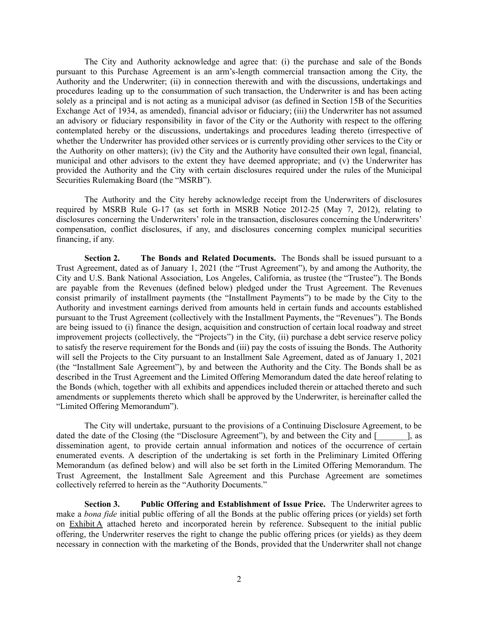The City and Authority acknowledge and agree that: (i) the purchase and sale of the Bonds pursuant to this Purchase Agreement is an arm's-length commercial transaction among the City, the Authority and the Underwriter; (ii) in connection therewith and with the discussions, undertakings and procedures leading up to the consummation of such transaction, the Underwriter is and has been acting solely as a principal and is not acting as a municipal advisor (as defined in Section 15B of the Securities Exchange Act of 1934, as amended), financial advisor or fiduciary; (iii) the Underwriter has not assumed an advisory or fiduciary responsibility in favor of the City or the Authority with respect to the offering contemplated hereby or the discussions, undertakings and procedures leading thereto (irrespective of whether the Underwriter has provided other services or is currently providing other services to the City or the Authority on other matters); (iv) the City and the Authority have consulted their own legal, financial, municipal and other advisors to the extent they have deemed appropriate; and (v) the Underwriter has provided the Authority and the City with certain disclosures required under the rules of the Municipal Securities Rulemaking Board (the "MSRB").

The Authority and the City hereby acknowledge receipt from the Underwriters of disclosures required by MSRB Rule G-17 (as set forth in MSRB Notice 2012-25 (May 7, 2012), relating to disclosures concerning the Underwriters' role in the transaction, disclosures concerning the Underwriters' compensation, conflict disclosures, if any, and disclosures concerning complex municipal securities financing, if any.

**Section 2. The Bonds and Related Documents.** The Bonds shall be issued pursuant to a Trust Agreement, dated as of January 1, 2021 (the "Trust Agreement"), by and among the Authority, the City and U.S. Bank National Association, Los Angeles, California, as trustee (the "Trustee"). The Bonds are payable from the Revenues (defined below) pledged under the Trust Agreement. The Revenues consist primarily of installment payments (the "Installment Payments") to be made by the City to the Authority and investment earnings derived from amounts held in certain funds and accounts established pursuant to the Trust Agreement (collectively with the Installment Payments, the "Revenues"). The Bonds are being issued to (i) finance the design, acquisition and construction of certain local roadway and street improvement projects (collectively, the "Projects") in the City, (ii) purchase a debt service reserve policy to satisfy the reserve requirement for the Bonds and (iii) pay the costs of issuing the Bonds. The Authority will sell the Projects to the City pursuant to an Installment Sale Agreement, dated as of January 1, 2021 (the "Installment Sale Agreement"), by and between the Authority and the City. The Bonds shall be as described in the Trust Agreement and the Limited Offering Memorandum dated the date hereof relating to the Bonds (which, together with all exhibits and appendices included therein or attached thereto and such amendments or supplements thereto which shall be approved by the Underwriter, is hereinafter called the "Limited Offering Memorandum").

The City will undertake, pursuant to the provisions of a Continuing Disclosure Agreement, to be dated the date of the Closing (the "Disclosure Agreement"), by and between the City and [\_\_\_\_\_\_\_\_\_], as dissemination agent, to provide certain annual information and notices of the occurrence of certain enumerated events. A description of the undertaking is set forth in the Preliminary Limited Offering Memorandum (as defined below) and will also be set forth in the Limited Offering Memorandum. The Trust Agreement, the Installment Sale Agreement and this Purchase Agreement are sometimes collectively referred to herein as the "Authority Documents."

**Section 3. Public Offering and Establishment of Issue Price.** The Underwriter agrees to make a *bona fide* initial public offering of all the Bonds at the public offering prices (or yields) set forth on Exhibit A attached hereto and incorporated herein by reference. Subsequent to the initial public offering, the Underwriter reserves the right to change the public offering prices (or yields) as they deem necessary in connection with the marketing of the Bonds, provided that the Underwriter shall not change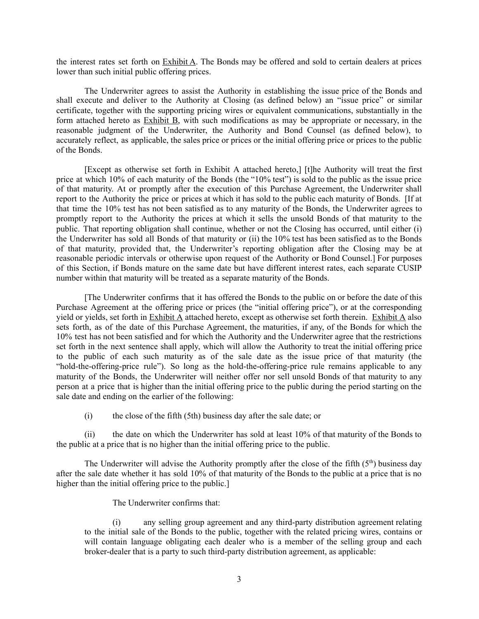the interest rates set forth on Exhibit A. The Bonds may be offered and sold to certain dealers at prices lower than such initial public offering prices.

The Underwriter agrees to assist the Authority in establishing the issue price of the Bonds and shall execute and deliver to the Authority at Closing (as defined below) an "issue price" or similar certificate, together with the supporting pricing wires or equivalent communications, substantially in the form attached hereto as Exhibit B, with such modifications as may be appropriate or necessary, in the reasonable judgment of the Underwriter, the Authority and Bond Counsel (as defined below), to accurately reflect, as applicable, the sales price or prices or the initial offering price or prices to the public of the Bonds.

[Except as otherwise set forth in Exhibit A attached hereto,] [t]he Authority will treat the first price at which 10% of each maturity of the Bonds (the "10% test") is sold to the public as the issue price of that maturity. At or promptly after the execution of this Purchase Agreement, the Underwriter shall report to the Authority the price or prices at which it has sold to the public each maturity of Bonds. [If at that time the 10% test has not been satisfied as to any maturity of the Bonds, the Underwriter agrees to promptly report to the Authority the prices at which it sells the unsold Bonds of that maturity to the public. That reporting obligation shall continue, whether or not the Closing has occurred, until either (i) the Underwriter has sold all Bonds of that maturity or (ii) the 10% test has been satisfied as to the Bonds of that maturity, provided that, the Underwriter's reporting obligation after the Closing may be at reasonable periodic intervals or otherwise upon request of the Authority or Bond Counsel.] For purposes of this Section, if Bonds mature on the same date but have different interest rates, each separate CUSIP number within that maturity will be treated as a separate maturity of the Bonds.

[The Underwriter confirms that it has offered the Bonds to the public on or before the date of this Purchase Agreement at the offering price or prices (the "initial offering price"), or at the corresponding yield or yields, set forth in Exhibit A attached hereto, except as otherwise set forth therein. Exhibit A also sets forth, as of the date of this Purchase Agreement, the maturities, if any, of the Bonds for which the 10% test has not been satisfied and for which the Authority and the Underwriter agree that the restrictions set forth in the next sentence shall apply, which will allow the Authority to treat the initial offering price to the public of each such maturity as of the sale date as the issue price of that maturity (the "hold-the-offering-price rule"). So long as the hold-the-offering-price rule remains applicable to any maturity of the Bonds, the Underwriter will neither offer nor sell unsold Bonds of that maturity to any person at a price that is higher than the initial offering price to the public during the period starting on the sale date and ending on the earlier of the following:

(i) the close of the fifth (5th) business day after the sale date; or

(ii) the date on which the Underwriter has sold at least 10% of that maturity of the Bonds to the public at a price that is no higher than the initial offering price to the public.

The Underwriter will advise the Authority promptly after the close of the fifth  $(5<sup>th</sup>)$  business day after the sale date whether it has sold 10% of that maturity of the Bonds to the public at a price that is no higher than the initial offering price to the public.

The Underwriter confirms that:

(i) any selling group agreement and any third-party distribution agreement relating to the initial sale of the Bonds to the public, together with the related pricing wires, contains or will contain language obligating each dealer who is a member of the selling group and each broker-dealer that is a party to such third-party distribution agreement, as applicable: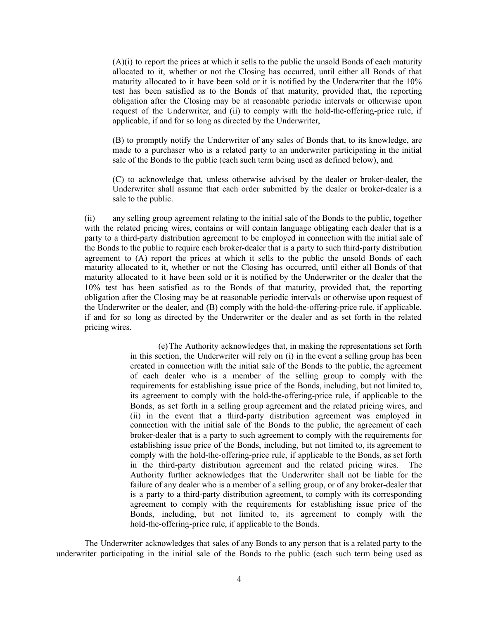(A)(i) to report the prices at which it sells to the public the unsold Bonds of each maturity allocated to it, whether or not the Closing has occurred, until either all Bonds of that maturity allocated to it have been sold or it is notified by the Underwriter that the 10% test has been satisfied as to the Bonds of that maturity, provided that, the reporting obligation after the Closing may be at reasonable periodic intervals or otherwise upon request of the Underwriter, and (ii) to comply with the hold-the-offering-price rule, if applicable, if and for so long as directed by the Underwriter,

(B) to promptly notify the Underwriter of any sales of Bonds that, to its knowledge, are made to a purchaser who is a related party to an underwriter participating in the initial sale of the Bonds to the public (each such term being used as defined below), and

(C) to acknowledge that, unless otherwise advised by the dealer or broker-dealer, the Underwriter shall assume that each order submitted by the dealer or broker-dealer is a sale to the public.

(ii) any selling group agreement relating to the initial sale of the Bonds to the public, together with the related pricing wires, contains or will contain language obligating each dealer that is a party to a third-party distribution agreement to be employed in connection with the initial sale of the Bonds to the public to require each broker-dealer that is a party to such third-party distribution agreement to (A) report the prices at which it sells to the public the unsold Bonds of each maturity allocated to it, whether or not the Closing has occurred, until either all Bonds of that maturity allocated to it have been sold or it is notified by the Underwriter or the dealer that the 10% test has been satisfied as to the Bonds of that maturity, provided that, the reporting obligation after the Closing may be at reasonable periodic intervals or otherwise upon request of the Underwriter or the dealer, and (B) comply with the hold-the-offering-price rule, if applicable, if and for so long as directed by the Underwriter or the dealer and as set forth in the related pricing wires.

> (e)The Authority acknowledges that, in making the representations set forth in this section, the Underwriter will rely on (i) in the event a selling group has been created in connection with the initial sale of the Bonds to the public, the agreement of each dealer who is a member of the selling group to comply with the requirements for establishing issue price of the Bonds, including, but not limited to, its agreement to comply with the hold-the-offering-price rule, if applicable to the Bonds, as set forth in a selling group agreement and the related pricing wires, and (ii) in the event that a third-party distribution agreement was employed in connection with the initial sale of the Bonds to the public, the agreement of each broker-dealer that is a party to such agreement to comply with the requirements for establishing issue price of the Bonds, including, but not limited to, its agreement to comply with the hold-the-offering-price rule, if applicable to the Bonds, as set forth in the third-party distribution agreement and the related pricing wires. The Authority further acknowledges that the Underwriter shall not be liable for the failure of any dealer who is a member of a selling group, or of any broker-dealer that is a party to a third-party distribution agreement, to comply with its corresponding agreement to comply with the requirements for establishing issue price of the Bonds, including, but not limited to, its agreement to comply with the hold-the-offering-price rule, if applicable to the Bonds.

The Underwriter acknowledges that sales of any Bonds to any person that is a related party to the underwriter participating in the initial sale of the Bonds to the public (each such term being used as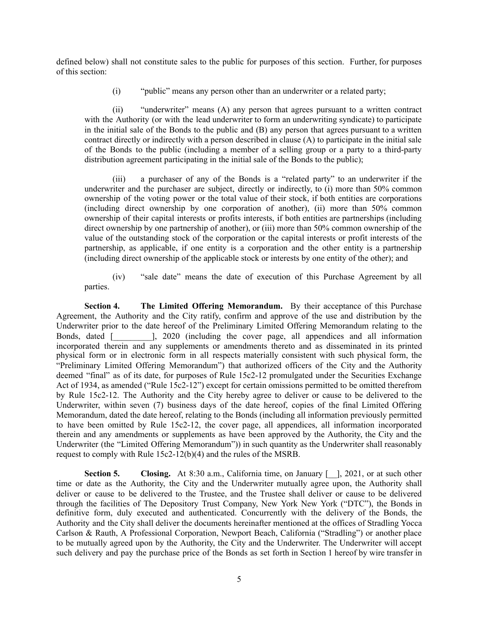defined below) shall not constitute sales to the public for purposes of this section. Further, for purposes of this section:

(i) "public" means any person other than an underwriter or a related party;

(ii) "underwriter" means (A) any person that agrees pursuant to a written contract with the Authority (or with the lead underwriter to form an underwriting syndicate) to participate in the initial sale of the Bonds to the public and (B) any person that agrees pursuant to a written contract directly or indirectly with a person described in clause (A) to participate in the initial sale of the Bonds to the public (including a member of a selling group or a party to a third-party distribution agreement participating in the initial sale of the Bonds to the public);

(iii) a purchaser of any of the Bonds is a "related party" to an underwriter if the underwriter and the purchaser are subject, directly or indirectly, to (i) more than 50% common ownership of the voting power or the total value of their stock, if both entities are corporations (including direct ownership by one corporation of another), (ii) more than 50% common ownership of their capital interests or profits interests, if both entities are partnerships (including direct ownership by one partnership of another), or (iii) more than 50% common ownership of the value of the outstanding stock of the corporation or the capital interests or profit interests of the partnership, as applicable, if one entity is a corporation and the other entity is a partnership (including direct ownership of the applicable stock or interests by one entity of the other); and

(iv) "sale date" means the date of execution of this Purchase Agreement by all parties.

**Section 4. The Limited Offering Memorandum.** By their acceptance of this Purchase Agreement, the Authority and the City ratify, confirm and approve of the use and distribution by the Underwriter prior to the date hereof of the Preliminary Limited Offering Memorandum relating to the Bonds, dated [  $\qquad$  ], 2020 (including the cover page, all appendices and all information incorporated therein and any supplements or amendments thereto and as disseminated in its printed physical form or in electronic form in all respects materially consistent with such physical form, the "Preliminary Limited Offering Memorandum") that authorized officers of the City and the Authority deemed "final" as of its date, for purposes of Rule 15c2-12 promulgated under the Securities Exchange Act of 1934, as amended ("Rule 15c2-12") except for certain omissions permitted to be omitted therefrom by Rule 15c2-12. The Authority and the City hereby agree to deliver or cause to be delivered to the Underwriter, within seven (7) business days of the date hereof, copies of the final Limited Offering Memorandum, dated the date hereof, relating to the Bonds (including all information previously permitted to have been omitted by Rule 15c2-12, the cover page, all appendices, all information incorporated therein and any amendments or supplements as have been approved by the Authority, the City and the Underwriter (the "Limited Offering Memorandum")) in such quantity as the Underwriter shall reasonably request to comply with Rule 15c2-12(b)(4) and the rules of the MSRB.

**Section 5. Closing.** At 8:30 a.m., California time, on January  $\begin{bmatrix} 1 \\ 2021 \end{bmatrix}$ , or at such other time or date as the Authority, the City and the Underwriter mutually agree upon, the Authority shall deliver or cause to be delivered to the Trustee, and the Trustee shall deliver or cause to be delivered through the facilities of The Depository Trust Company, New York New York ("DTC"), the Bonds in definitive form, duly executed and authenticated. Concurrently with the delivery of the Bonds, the Authority and the City shall deliver the documents hereinafter mentioned at the offices of Stradling Yocca Carlson & Rauth, A Professional Corporation, Newport Beach, California ("Stradling") or another place to be mutually agreed upon by the Authority, the City and the Underwriter. The Underwriter will accept such delivery and pay the purchase price of the Bonds as set forth in Section 1 hereof by wire transfer in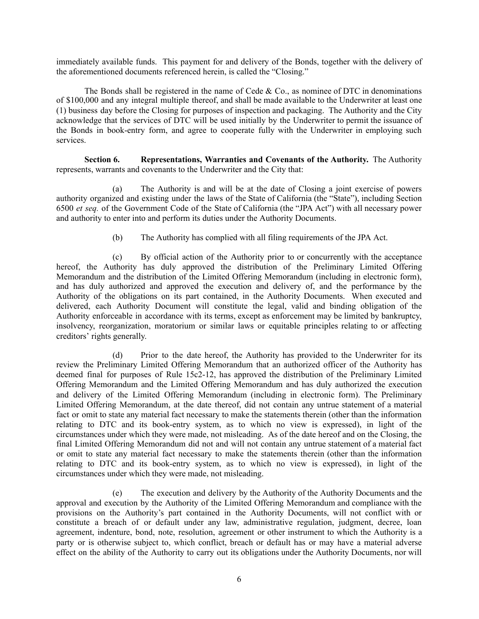immediately available funds. This payment for and delivery of the Bonds, together with the delivery of the aforementioned documents referenced herein, is called the "Closing."

The Bonds shall be registered in the name of Cede  $& Co.,$  as nominee of DTC in denominations of \$100,000 and any integral multiple thereof, and shall be made available to the Underwriter at least one (1) business day before the Closing for purposes of inspection and packaging. The Authority and the City acknowledge that the services of DTC will be used initially by the Underwriter to permit the issuance of the Bonds in book-entry form, and agree to cooperate fully with the Underwriter in employing such services.

**Section 6. Representations, Warranties and Covenants of the Authority.** The Authority represents, warrants and covenants to the Underwriter and the City that:

(a) The Authority is and will be at the date of Closing a joint exercise of powers authority organized and existing under the laws of the State of California (the "State"), including Section 6500 *et seq.* of the Government Code of the State of California (the "JPA Act") with all necessary power and authority to enter into and perform its duties under the Authority Documents.

(b) The Authority has complied with all filing requirements of the JPA Act.

(c) By official action of the Authority prior to or concurrently with the acceptance hereof, the Authority has duly approved the distribution of the Preliminary Limited Offering Memorandum and the distribution of the Limited Offering Memorandum (including in electronic form), and has duly authorized and approved the execution and delivery of, and the performance by the Authority of the obligations on its part contained, in the Authority Documents. When executed and delivered, each Authority Document will constitute the legal, valid and binding obligation of the Authority enforceable in accordance with its terms, except as enforcement may be limited by bankruptcy, insolvency, reorganization, moratorium or similar laws or equitable principles relating to or affecting creditors' rights generally.

(d) Prior to the date hereof, the Authority has provided to the Underwriter for its review the Preliminary Limited Offering Memorandum that an authorized officer of the Authority has deemed final for purposes of Rule 15c2-12, has approved the distribution of the Preliminary Limited Offering Memorandum and the Limited Offering Memorandum and has duly authorized the execution and delivery of the Limited Offering Memorandum (including in electronic form). The Preliminary Limited Offering Memorandum, at the date thereof, did not contain any untrue statement of a material fact or omit to state any material fact necessary to make the statements therein (other than the information relating to DTC and its book-entry system, as to which no view is expressed), in light of the circumstances under which they were made, not misleading. As of the date hereof and on the Closing, the final Limited Offering Memorandum did not and will not contain any untrue statement of a material fact or omit to state any material fact necessary to make the statements therein (other than the information relating to DTC and its book-entry system, as to which no view is expressed), in light of the circumstances under which they were made, not misleading.

(e) The execution and delivery by the Authority of the Authority Documents and the approval and execution by the Authority of the Limited Offering Memorandum and compliance with the provisions on the Authority's part contained in the Authority Documents, will not conflict with or constitute a breach of or default under any law, administrative regulation, judgment, decree, loan agreement, indenture, bond, note, resolution, agreement or other instrument to which the Authority is a party or is otherwise subject to, which conflict, breach or default has or may have a material adverse effect on the ability of the Authority to carry out its obligations under the Authority Documents, nor will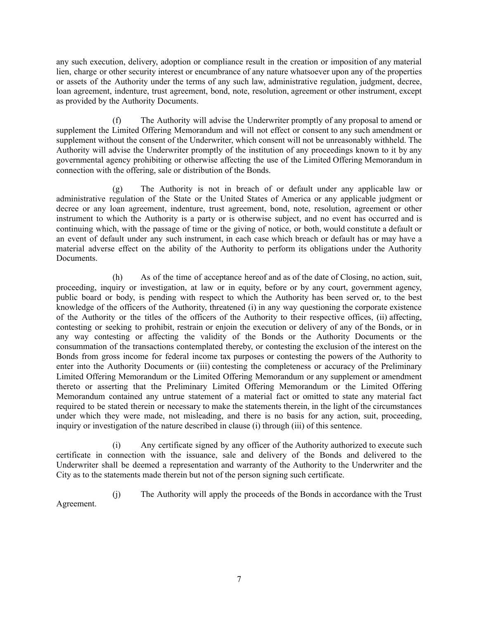any such execution, delivery, adoption or compliance result in the creation or imposition of any material lien, charge or other security interest or encumbrance of any nature whatsoever upon any of the properties or assets of the Authority under the terms of any such law, administrative regulation, judgment, decree, loan agreement, indenture, trust agreement, bond, note, resolution, agreement or other instrument, except as provided by the Authority Documents.

(f) The Authority will advise the Underwriter promptly of any proposal to amend or supplement the Limited Offering Memorandum and will not effect or consent to any such amendment or supplement without the consent of the Underwriter, which consent will not be unreasonably withheld. The Authority will advise the Underwriter promptly of the institution of any proceedings known to it by any governmental agency prohibiting or otherwise affecting the use of the Limited Offering Memorandum in connection with the offering, sale or distribution of the Bonds.

(g) The Authority is not in breach of or default under any applicable law or administrative regulation of the State or the United States of America or any applicable judgment or decree or any loan agreement, indenture, trust agreement, bond, note, resolution, agreement or other instrument to which the Authority is a party or is otherwise subject, and no event has occurred and is continuing which, with the passage of time or the giving of notice, or both, would constitute a default or an event of default under any such instrument, in each case which breach or default has or may have a material adverse effect on the ability of the Authority to perform its obligations under the Authority Documents.

(h) As of the time of acceptance hereof and as of the date of Closing, no action, suit, proceeding, inquiry or investigation, at law or in equity, before or by any court, government agency, public board or body, is pending with respect to which the Authority has been served or, to the best knowledge of the officers of the Authority, threatened (i) in any way questioning the corporate existence of the Authority or the titles of the officers of the Authority to their respective offices, (ii) affecting, contesting or seeking to prohibit, restrain or enjoin the execution or delivery of any of the Bonds, or in any way contesting or affecting the validity of the Bonds or the Authority Documents or the consummation of the transactions contemplated thereby, or contesting the exclusion of the interest on the Bonds from gross income for federal income tax purposes or contesting the powers of the Authority to enter into the Authority Documents or (iii) contesting the completeness or accuracy of the Preliminary Limited Offering Memorandum or the Limited Offering Memorandum or any supplement or amendment thereto or asserting that the Preliminary Limited Offering Memorandum or the Limited Offering Memorandum contained any untrue statement of a material fact or omitted to state any material fact required to be stated therein or necessary to make the statements therein, in the light of the circumstances under which they were made, not misleading, and there is no basis for any action, suit, proceeding, inquiry or investigation of the nature described in clause (i) through (iii) of this sentence.

(i) Any certificate signed by any officer of the Authority authorized to execute such certificate in connection with the issuance, sale and delivery of the Bonds and delivered to the Underwriter shall be deemed a representation and warranty of the Authority to the Underwriter and the City as to the statements made therein but not of the person signing such certificate.

(j) The Authority will apply the proceeds of the Bonds in accordance with the Trust Agreement.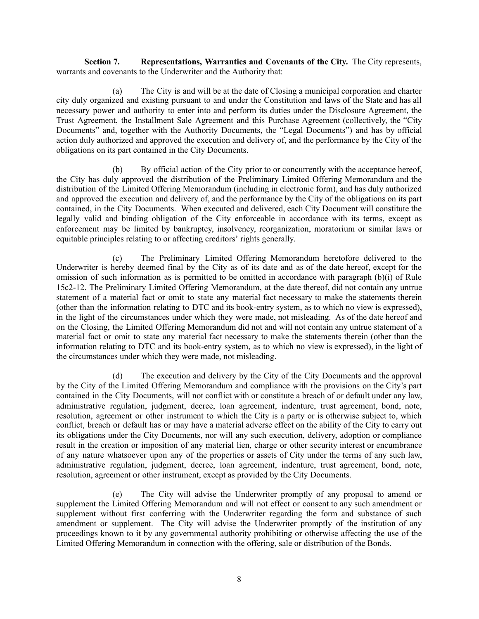**Section 7. Representations, Warranties and Covenants of the City.** The City represents, warrants and covenants to the Underwriter and the Authority that:

(a) The City is and will be at the date of Closing a municipal corporation and charter city duly organized and existing pursuant to and under the Constitution and laws of the State and has all necessary power and authority to enter into and perform its duties under the Disclosure Agreement, the Trust Agreement, the Installment Sale Agreement and this Purchase Agreement (collectively, the "City Documents" and, together with the Authority Documents, the "Legal Documents") and has by official action duly authorized and approved the execution and delivery of, and the performance by the City of the obligations on its part contained in the City Documents.

(b) By official action of the City prior to or concurrently with the acceptance hereof, the City has duly approved the distribution of the Preliminary Limited Offering Memorandum and the distribution of the Limited Offering Memorandum (including in electronic form), and has duly authorized and approved the execution and delivery of, and the performance by the City of the obligations on its part contained, in the City Documents. When executed and delivered, each City Document will constitute the legally valid and binding obligation of the City enforceable in accordance with its terms, except as enforcement may be limited by bankruptcy, insolvency, reorganization, moratorium or similar laws or equitable principles relating to or affecting creditors' rights generally.

(c) The Preliminary Limited Offering Memorandum heretofore delivered to the Underwriter is hereby deemed final by the City as of its date and as of the date hereof, except for the omission of such information as is permitted to be omitted in accordance with paragraph (b)(i) of Rule 15c2-12. The Preliminary Limited Offering Memorandum, at the date thereof, did not contain any untrue statement of a material fact or omit to state any material fact necessary to make the statements therein (other than the information relating to DTC and its book-entry system, as to which no view is expressed), in the light of the circumstances under which they were made, not misleading. As of the date hereof and on the Closing, the Limited Offering Memorandum did not and will not contain any untrue statement of a material fact or omit to state any material fact necessary to make the statements therein (other than the information relating to DTC and its book-entry system, as to which no view is expressed), in the light of the circumstances under which they were made, not misleading.

(d) The execution and delivery by the City of the City Documents and the approval by the City of the Limited Offering Memorandum and compliance with the provisions on the City's part contained in the City Documents, will not conflict with or constitute a breach of or default under any law, administrative regulation, judgment, decree, loan agreement, indenture, trust agreement, bond, note, resolution, agreement or other instrument to which the City is a party or is otherwise subject to, which conflict, breach or default has or may have a material adverse effect on the ability of the City to carry out its obligations under the City Documents, nor will any such execution, delivery, adoption or compliance result in the creation or imposition of any material lien, charge or other security interest or encumbrance of any nature whatsoever upon any of the properties or assets of City under the terms of any such law, administrative regulation, judgment, decree, loan agreement, indenture, trust agreement, bond, note, resolution, agreement or other instrument, except as provided by the City Documents.

(e) The City will advise the Underwriter promptly of any proposal to amend or supplement the Limited Offering Memorandum and will not effect or consent to any such amendment or supplement without first conferring with the Underwriter regarding the form and substance of such amendment or supplement. The City will advise the Underwriter promptly of the institution of any proceedings known to it by any governmental authority prohibiting or otherwise affecting the use of the Limited Offering Memorandum in connection with the offering, sale or distribution of the Bonds.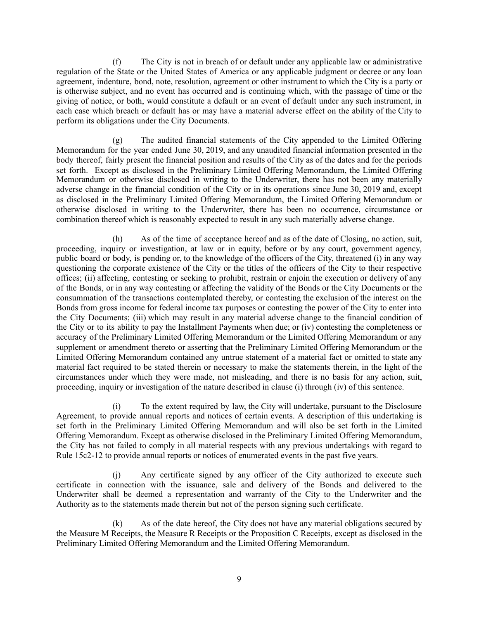(f) The City is not in breach of or default under any applicable law or administrative regulation of the State or the United States of America or any applicable judgment or decree or any loan agreement, indenture, bond, note, resolution, agreement or other instrument to which the City is a party or is otherwise subject, and no event has occurred and is continuing which, with the passage of time or the giving of notice, or both, would constitute a default or an event of default under any such instrument, in each case which breach or default has or may have a material adverse effect on the ability of the City to perform its obligations under the City Documents.

(g) The audited financial statements of the City appended to the Limited Offering Memorandum for the year ended June 30, 2019, and any unaudited financial information presented in the body thereof, fairly present the financial position and results of the City as of the dates and for the periods set forth. Except as disclosed in the Preliminary Limited Offering Memorandum, the Limited Offering Memorandum or otherwise disclosed in writing to the Underwriter, there has not been any materially adverse change in the financial condition of the City or in its operations since June 30, 2019 and, except as disclosed in the Preliminary Limited Offering Memorandum, the Limited Offering Memorandum or otherwise disclosed in writing to the Underwriter, there has been no occurrence, circumstance or combination thereof which is reasonably expected to result in any such materially adverse change.

(h) As of the time of acceptance hereof and as of the date of Closing, no action, suit, proceeding, inquiry or investigation, at law or in equity, before or by any court, government agency, public board or body, is pending or, to the knowledge of the officers of the City, threatened (i) in any way questioning the corporate existence of the City or the titles of the officers of the City to their respective offices; (ii) affecting, contesting or seeking to prohibit, restrain or enjoin the execution or delivery of any of the Bonds, or in any way contesting or affecting the validity of the Bonds or the City Documents or the consummation of the transactions contemplated thereby, or contesting the exclusion of the interest on the Bonds from gross income for federal income tax purposes or contesting the power of the City to enter into the City Documents; (iii) which may result in any material adverse change to the financial condition of the City or to its ability to pay the Installment Payments when due; or (iv) contesting the completeness or accuracy of the Preliminary Limited Offering Memorandum or the Limited Offering Memorandum or any supplement or amendment thereto or asserting that the Preliminary Limited Offering Memorandum or the Limited Offering Memorandum contained any untrue statement of a material fact or omitted to state any material fact required to be stated therein or necessary to make the statements therein, in the light of the circumstances under which they were made, not misleading, and there is no basis for any action, suit, proceeding, inquiry or investigation of the nature described in clause (i) through (iv) of this sentence.

(i) To the extent required by law, the City will undertake, pursuant to the Disclosure Agreement, to provide annual reports and notices of certain events. A description of this undertaking is set forth in the Preliminary Limited Offering Memorandum and will also be set forth in the Limited Offering Memorandum. Except as otherwise disclosed in the Preliminary Limited Offering Memorandum, the City has not failed to comply in all material respects with any previous undertakings with regard to Rule 15c2-12 to provide annual reports or notices of enumerated events in the past five years.

(j) Any certificate signed by any officer of the City authorized to execute such certificate in connection with the issuance, sale and delivery of the Bonds and delivered to the Underwriter shall be deemed a representation and warranty of the City to the Underwriter and the Authority as to the statements made therein but not of the person signing such certificate.

(k) As of the date hereof, the City does not have any material obligations secured by the Measure M Receipts, the Measure R Receipts or the Proposition C Receipts, except as disclosed in the Preliminary Limited Offering Memorandum and the Limited Offering Memorandum.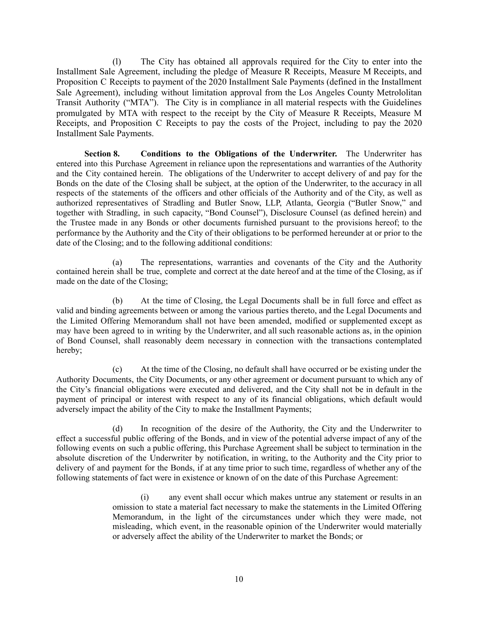(l) The City has obtained all approvals required for the City to enter into the Installment Sale Agreement, including the pledge of Measure R Receipts, Measure M Receipts, and Proposition C Receipts to payment of the 2020 Installment Sale Payments (defined in the Installment Sale Agreement), including without limitation approval from the Los Angeles County Metrololitan Transit Authority ("MTA"). The City is in compliance in all material respects with the Guidelines promulgated by MTA with respect to the receipt by the City of Measure R Receipts, Measure M Receipts, and Proposition C Receipts to pay the costs of the Project, including to pay the 2020 Installment Sale Payments.

**Section 8. Conditions to the Obligations of the Underwriter.** The Underwriter has entered into this Purchase Agreement in reliance upon the representations and warranties of the Authority and the City contained herein. The obligations of the Underwriter to accept delivery of and pay for the Bonds on the date of the Closing shall be subject, at the option of the Underwriter, to the accuracy in all respects of the statements of the officers and other officials of the Authority and of the City, as well as authorized representatives of Stradling and Butler Snow, LLP, Atlanta, Georgia ("Butler Snow," and together with Stradling, in such capacity, "Bond Counsel"), Disclosure Counsel (as defined herein) and the Trustee made in any Bonds or other documents furnished pursuant to the provisions hereof; to the performance by the Authority and the City of their obligations to be performed hereunder at or prior to the date of the Closing; and to the following additional conditions:

(a) The representations, warranties and covenants of the City and the Authority contained herein shall be true, complete and correct at the date hereof and at the time of the Closing, as if made on the date of the Closing;

(b) At the time of Closing, the Legal Documents shall be in full force and effect as valid and binding agreements between or among the various parties thereto, and the Legal Documents and the Limited Offering Memorandum shall not have been amended, modified or supplemented except as may have been agreed to in writing by the Underwriter, and all such reasonable actions as, in the opinion of Bond Counsel, shall reasonably deem necessary in connection with the transactions contemplated hereby;

(c) At the time of the Closing, no default shall have occurred or be existing under the Authority Documents, the City Documents, or any other agreement or document pursuant to which any of the City's financial obligations were executed and delivered, and the City shall not be in default in the payment of principal or interest with respect to any of its financial obligations, which default would adversely impact the ability of the City to make the Installment Payments;

(d) In recognition of the desire of the Authority, the City and the Underwriter to effect a successful public offering of the Bonds, and in view of the potential adverse impact of any of the following events on such a public offering, this Purchase Agreement shall be subject to termination in the absolute discretion of the Underwriter by notification, in writing, to the Authority and the City prior to delivery of and payment for the Bonds, if at any time prior to such time, regardless of whether any of the following statements of fact were in existence or known of on the date of this Purchase Agreement:

> (i) any event shall occur which makes untrue any statement or results in an omission to state a material fact necessary to make the statements in the Limited Offering Memorandum, in the light of the circumstances under which they were made, not misleading, which event, in the reasonable opinion of the Underwriter would materially or adversely affect the ability of the Underwriter to market the Bonds; or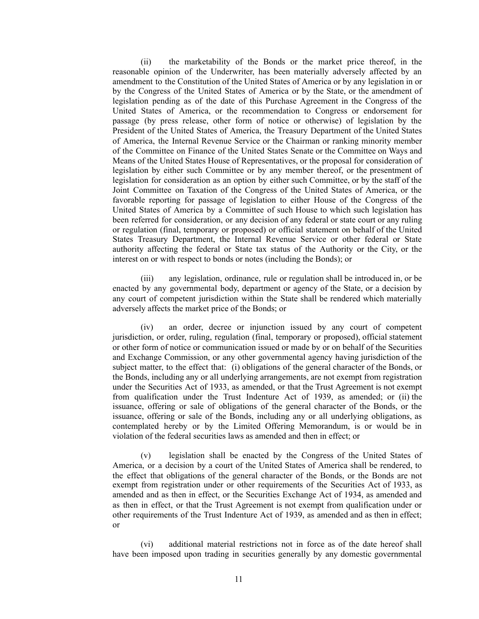(ii) the marketability of the Bonds or the market price thereof, in the reasonable opinion of the Underwriter, has been materially adversely affected by an amendment to the Constitution of the United States of America or by any legislation in or by the Congress of the United States of America or by the State, or the amendment of legislation pending as of the date of this Purchase Agreement in the Congress of the United States of America, or the recommendation to Congress or endorsement for passage (by press release, other form of notice or otherwise) of legislation by the President of the United States of America, the Treasury Department of the United States of America, the Internal Revenue Service or the Chairman or ranking minority member of the Committee on Finance of the United States Senate or the Committee on Ways and Means of the United States House of Representatives, or the proposal for consideration of legislation by either such Committee or by any member thereof, or the presentment of legislation for consideration as an option by either such Committee, or by the staff of the Joint Committee on Taxation of the Congress of the United States of America, or the favorable reporting for passage of legislation to either House of the Congress of the United States of America by a Committee of such House to which such legislation has been referred for consideration, or any decision of any federal or state court or any ruling or regulation (final, temporary or proposed) or official statement on behalf of the United States Treasury Department, the Internal Revenue Service or other federal or State authority affecting the federal or State tax status of the Authority or the City, or the interest on or with respect to bonds or notes (including the Bonds); or

(iii) any legislation, ordinance, rule or regulation shall be introduced in, or be enacted by any governmental body, department or agency of the State, or a decision by any court of competent jurisdiction within the State shall be rendered which materially adversely affects the market price of the Bonds; or

(iv) an order, decree or injunction issued by any court of competent jurisdiction, or order, ruling, regulation (final, temporary or proposed), official statement or other form of notice or communication issued or made by or on behalf of the Securities and Exchange Commission, or any other governmental agency having jurisdiction of the subject matter, to the effect that: (i) obligations of the general character of the Bonds, or the Bonds, including any or all underlying arrangements, are not exempt from registration under the Securities Act of 1933, as amended, or that the Trust Agreement is not exempt from qualification under the Trust Indenture Act of 1939, as amended; or (ii) the issuance, offering or sale of obligations of the general character of the Bonds, or the issuance, offering or sale of the Bonds, including any or all underlying obligations, as contemplated hereby or by the Limited Offering Memorandum, is or would be in violation of the federal securities laws as amended and then in effect; or

(v) legislation shall be enacted by the Congress of the United States of America, or a decision by a court of the United States of America shall be rendered, to the effect that obligations of the general character of the Bonds, or the Bonds are not exempt from registration under or other requirements of the Securities Act of 1933, as amended and as then in effect, or the Securities Exchange Act of 1934, as amended and as then in effect, or that the Trust Agreement is not exempt from qualification under or other requirements of the Trust Indenture Act of 1939, as amended and as then in effect; or

(vi) additional material restrictions not in force as of the date hereof shall have been imposed upon trading in securities generally by any domestic governmental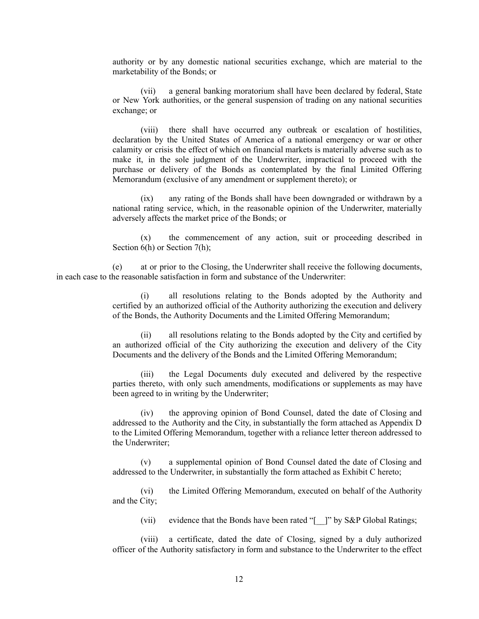authority or by any domestic national securities exchange, which are material to the marketability of the Bonds; or

(vii) a general banking moratorium shall have been declared by federal, State or New York authorities, or the general suspension of trading on any national securities exchange; or

(viii) there shall have occurred any outbreak or escalation of hostilities, declaration by the United States of America of a national emergency or war or other calamity or crisis the effect of which on financial markets is materially adverse such as to make it, in the sole judgment of the Underwriter, impractical to proceed with the purchase or delivery of the Bonds as contemplated by the final Limited Offering Memorandum (exclusive of any amendment or supplement thereto); or

(ix) any rating of the Bonds shall have been downgraded or withdrawn by a national rating service, which, in the reasonable opinion of the Underwriter, materially adversely affects the market price of the Bonds; or

(x) the commencement of any action, suit or proceeding described in Section 6(h) or Section 7(h);

(e) at or prior to the Closing, the Underwriter shall receive the following documents, in each case to the reasonable satisfaction in form and substance of the Underwriter:

> (i) all resolutions relating to the Bonds adopted by the Authority and certified by an authorized official of the Authority authorizing the execution and delivery of the Bonds, the Authority Documents and the Limited Offering Memorandum;

> (ii) all resolutions relating to the Bonds adopted by the City and certified by an authorized official of the City authorizing the execution and delivery of the City Documents and the delivery of the Bonds and the Limited Offering Memorandum;

> (iii) the Legal Documents duly executed and delivered by the respective parties thereto, with only such amendments, modifications or supplements as may have been agreed to in writing by the Underwriter;

> (iv) the approving opinion of Bond Counsel, dated the date of Closing and addressed to the Authority and the City, in substantially the form attached as Appendix D to the Limited Offering Memorandum, together with a reliance letter thereon addressed to the Underwriter;

> (v) a supplemental opinion of Bond Counsel dated the date of Closing and addressed to the Underwriter, in substantially the form attached as Exhibit C hereto;

> (vi) the Limited Offering Memorandum, executed on behalf of the Authority and the City;

(vii) evidence that the Bonds have been rated "[<sup>1</sup>]" by S&P Global Ratings;

(viii) a certificate, dated the date of Closing, signed by a duly authorized officer of the Authority satisfactory in form and substance to the Underwriter to the effect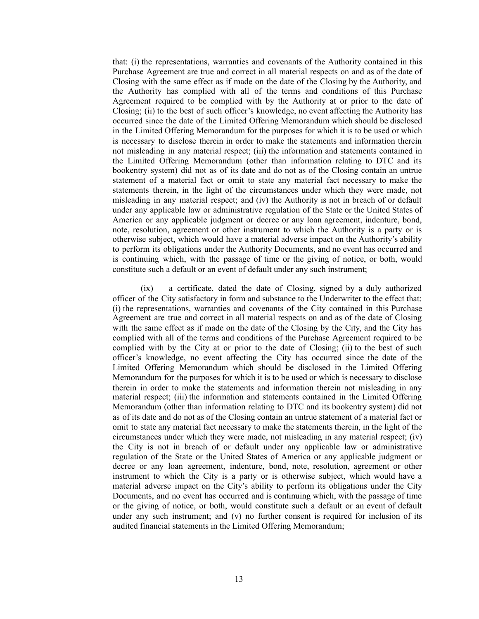that: (i) the representations, warranties and covenants of the Authority contained in this Purchase Agreement are true and correct in all material respects on and as of the date of Closing with the same effect as if made on the date of the Closing by the Authority, and the Authority has complied with all of the terms and conditions of this Purchase Agreement required to be complied with by the Authority at or prior to the date of Closing; (ii) to the best of such officer's knowledge, no event affecting the Authority has occurred since the date of the Limited Offering Memorandum which should be disclosed in the Limited Offering Memorandum for the purposes for which it is to be used or which is necessary to disclose therein in order to make the statements and information therein not misleading in any material respect; (iii) the information and statements contained in the Limited Offering Memorandum (other than information relating to DTC and its bookentry system) did not as of its date and do not as of the Closing contain an untrue statement of a material fact or omit to state any material fact necessary to make the statements therein, in the light of the circumstances under which they were made, not misleading in any material respect; and (iv) the Authority is not in breach of or default under any applicable law or administrative regulation of the State or the United States of America or any applicable judgment or decree or any loan agreement, indenture, bond, note, resolution, agreement or other instrument to which the Authority is a party or is otherwise subject, which would have a material adverse impact on the Authority's ability to perform its obligations under the Authority Documents, and no event has occurred and is continuing which, with the passage of time or the giving of notice, or both, would constitute such a default or an event of default under any such instrument;

(ix) a certificate, dated the date of Closing, signed by a duly authorized officer of the City satisfactory in form and substance to the Underwriter to the effect that: (i) the representations, warranties and covenants of the City contained in this Purchase Agreement are true and correct in all material respects on and as of the date of Closing with the same effect as if made on the date of the Closing by the City, and the City has complied with all of the terms and conditions of the Purchase Agreement required to be complied with by the City at or prior to the date of Closing; (ii) to the best of such officer's knowledge, no event affecting the City has occurred since the date of the Limited Offering Memorandum which should be disclosed in the Limited Offering Memorandum for the purposes for which it is to be used or which is necessary to disclose therein in order to make the statements and information therein not misleading in any material respect; (iii) the information and statements contained in the Limited Offering Memorandum (other than information relating to DTC and its bookentry system) did not as of its date and do not as of the Closing contain an untrue statement of a material fact or omit to state any material fact necessary to make the statements therein, in the light of the circumstances under which they were made, not misleading in any material respect; (iv) the City is not in breach of or default under any applicable law or administrative regulation of the State or the United States of America or any applicable judgment or decree or any loan agreement, indenture, bond, note, resolution, agreement or other instrument to which the City is a party or is otherwise subject, which would have a material adverse impact on the City's ability to perform its obligations under the City Documents, and no event has occurred and is continuing which, with the passage of time or the giving of notice, or both, would constitute such a default or an event of default under any such instrument; and (v) no further consent is required for inclusion of its audited financial statements in the Limited Offering Memorandum;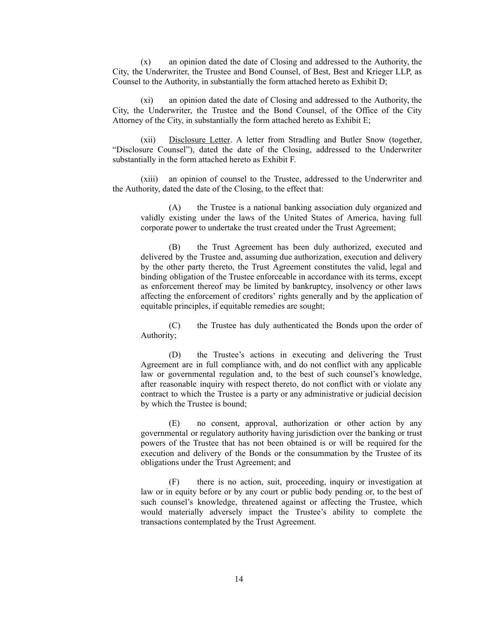(x) an opinion dated the date of Closing and addressed to the Authority, the City, the Underwriter, the Trustee and Bond Counsel, of Best, Best and Krieger LLP, as Counsel to the Authority, in substantially the form attached hereto as Exhibit D;

(xi) an opinion dated the date of Closing and addressed to the Authority, the City, the Underwriter, the Trustee and the Bond Counsel, of the Office of the City Attorney of the City, in substantially the form attached hereto as Exhibit E;

(xii) Disclosure Letter. A letter from Stradling and Butler Snow (together, "Disclosure Counsel"), dated the date of the Closing, addressed to the Underwriter substantially in the form attached hereto as Exhibit F.

(xiii) an opinion of counsel to the Trustee, addressed to the Underwriter and the Authority, dated the date of the Closing, to the effect that:

(A) the Trustee is a national banking association duly organized and validly existing under the laws of the United States of America, having full corporate power to undertake the trust created under the Trust Agreement;

(B) the Trust Agreement has been duly authorized, executed and delivered by the Trustee and, assuming due authorization, execution and delivery by the other party thereto, the Trust Agreement constitutes the valid, legal and binding obligation of the Trustee enforceable in accordance with its terms, except as enforcement thereof may be limited by bankruptcy, insolvency or other laws affecting the enforcement of creditors' rights generally and by the application of equitable principles, if equitable remedies are sought;

(C) the Trustee has duly authenticated the Bonds upon the order of Authority;

(D) the Trustee's actions in executing and delivering the Trust Agreement are in full compliance with, and do not conflict with any applicable law or governmental regulation and, to the best of such counsel's knowledge, after reasonable inquiry with respect thereto, do not conflict with or violate any contract to which the Trustee is a party or any administrative or judicial decision by which the Trustee is bound;

(E) no consent, approval, authorization or other action by any governmental or regulatory authority having jurisdiction over the banking or trust powers of the Trustee that has not been obtained is or will be required for the execution and delivery of the Bonds or the consummation by the Trustee of its obligations under the Trust Agreement; and

(F) there is no action, suit, proceeding, inquiry or investigation at law or in equity before or by any court or public body pending or, to the best of such counsel's knowledge, threatened against or affecting the Trustee, which would materially adversely impact the Trustee's ability to complete the transactions contemplated by the Trust Agreement.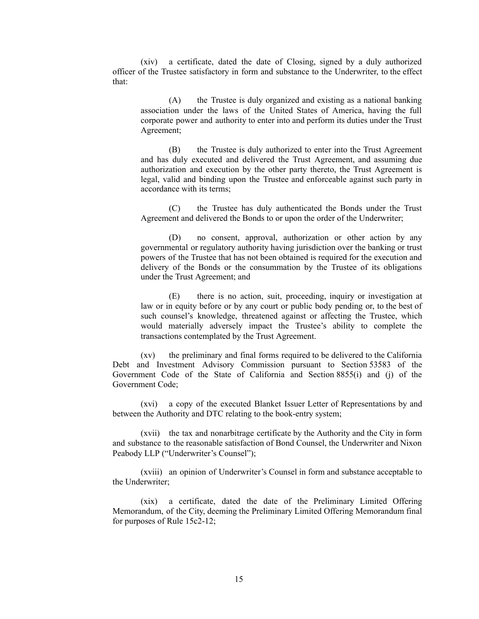(xiv) a certificate, dated the date of Closing, signed by a duly authorized officer of the Trustee satisfactory in form and substance to the Underwriter, to the effect that:

(A) the Trustee is duly organized and existing as a national banking association under the laws of the United States of America, having the full corporate power and authority to enter into and perform its duties under the Trust Agreement;

(B) the Trustee is duly authorized to enter into the Trust Agreement and has duly executed and delivered the Trust Agreement, and assuming due authorization and execution by the other party thereto, the Trust Agreement is legal, valid and binding upon the Trustee and enforceable against such party in accordance with its terms;

(C) the Trustee has duly authenticated the Bonds under the Trust Agreement and delivered the Bonds to or upon the order of the Underwriter;

(D) no consent, approval, authorization or other action by any governmental or regulatory authority having jurisdiction over the banking or trust powers of the Trustee that has not been obtained is required for the execution and delivery of the Bonds or the consummation by the Trustee of its obligations under the Trust Agreement; and

(E) there is no action, suit, proceeding, inquiry or investigation at law or in equity before or by any court or public body pending or, to the best of such counsel's knowledge, threatened against or affecting the Trustee, which would materially adversely impact the Trustee's ability to complete the transactions contemplated by the Trust Agreement.

(xv) the preliminary and final forms required to be delivered to the California Debt and Investment Advisory Commission pursuant to Section 53583 of the Government Code of the State of California and Section 8855(i) and (j) of the Government Code;

(xvi) a copy of the executed Blanket Issuer Letter of Representations by and between the Authority and DTC relating to the book-entry system;

(xvii) the tax and nonarbitrage certificate by the Authority and the City in form and substance to the reasonable satisfaction of Bond Counsel, the Underwriter and Nixon Peabody LLP ("Underwriter's Counsel");

(xviii) an opinion of Underwriter's Counsel in form and substance acceptable to the Underwriter;

(xix) a certificate, dated the date of the Preliminary Limited Offering Memorandum, of the City, deeming the Preliminary Limited Offering Memorandum final for purposes of Rule 15c2-12;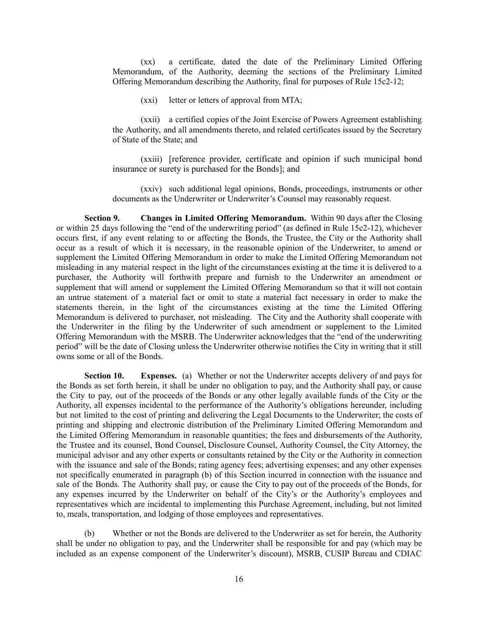(xx) a certificate, dated the date of the Preliminary Limited Offering Memorandum, of the Authority, deeming the sections of the Preliminary Limited Offering Memorandum describing the Authority, final for purposes of Rule 15c2-12;

(xxi) letter or letters of approval from MTA;

(xxii) a certified copies of the Joint Exercise of Powers Agreement establishing the Authority, and all amendments thereto, and related certificates issued by the Secretary of State of the State; and

(xxiii) [reference provider, certificate and opinion if such municipal bond insurance or surety is purchased for the Bonds]; and

(xxiv) such additional legal opinions, Bonds, proceedings, instruments or other documents as the Underwriter or Underwriter's Counsel may reasonably request.

**Section 9. Changes in Limited Offering Memorandum.** Within 90 days after the Closing or within 25 days following the "end of the underwriting period" (as defined in Rule 15c2-12), whichever occurs first, if any event relating to or affecting the Bonds, the Trustee, the City or the Authority shall occur as a result of which it is necessary, in the reasonable opinion of the Underwriter, to amend or supplement the Limited Offering Memorandum in order to make the Limited Offering Memorandum not misleading in any material respect in the light of the circumstances existing at the time it is delivered to a purchaser, the Authority will forthwith prepare and furnish to the Underwriter an amendment or supplement that will amend or supplement the Limited Offering Memorandum so that it will not contain an untrue statement of a material fact or omit to state a material fact necessary in order to make the statements therein, in the light of the circumstances existing at the time the Limited Offering Memorandum is delivered to purchaser, not misleading. The City and the Authority shall cooperate with the Underwriter in the filing by the Underwriter of such amendment or supplement to the Limited Offering Memorandum with the MSRB. The Underwriter acknowledges that the "end of the underwriting period" will be the date of Closing unless the Underwriter otherwise notifies the City in writing that it still owns some or all of the Bonds.

**Section 10. Expenses.** (a) Whether or not the Underwriter accepts delivery of and pays for the Bonds as set forth herein, it shall be under no obligation to pay, and the Authority shall pay, or cause the City to pay, out of the proceeds of the Bonds or any other legally available funds of the City or the Authority, all expenses incidental to the performance of the Authority's obligations hereunder, including but not limited to the cost of printing and delivering the Legal Documents to the Underwriter; the costs of printing and shipping and electronic distribution of the Preliminary Limited Offering Memorandum and the Limited Offering Memorandum in reasonable quantities; the fees and disbursements of the Authority, the Trustee and its counsel, Bond Counsel, Disclosure Counsel, Authority Counsel, the City Attorney, the municipal advisor and any other experts or consultants retained by the City or the Authority in connection with the issuance and sale of the Bonds; rating agency fees; advertising expenses; and any other expenses not specifically enumerated in paragraph (b) of this Section incurred in connection with the issuance and sale of the Bonds. The Authority shall pay, or cause the City to pay out of the proceeds of the Bonds, for any expenses incurred by the Underwriter on behalf of the City's or the Authority's employees and representatives which are incidental to implementing this Purchase Agreement, including, but not limited to, meals, transportation, and lodging of those employees and representatives.

(b) Whether or not the Bonds are delivered to the Underwriter as set for herein, the Authority shall be under no obligation to pay, and the Underwriter shall be responsible for and pay (which may be included as an expense component of the Underwriter's discount), MSRB, CUSIP Bureau and CDIAC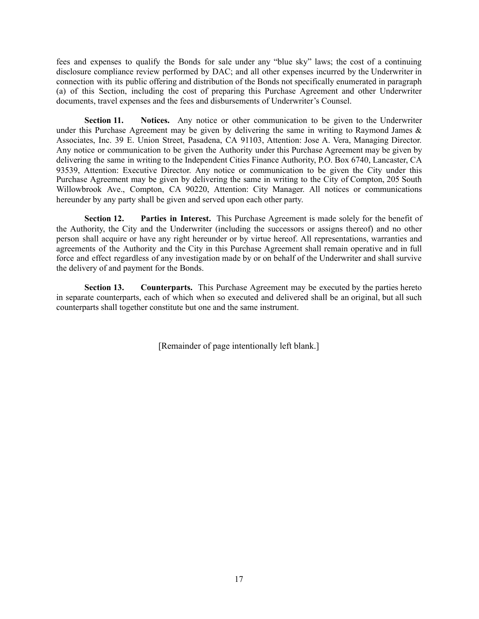fees and expenses to qualify the Bonds for sale under any "blue sky" laws; the cost of a continuing disclosure compliance review performed by DAC; and all other expenses incurred by the Underwriter in connection with its public offering and distribution of the Bonds not specifically enumerated in paragraph (a) of this Section, including the cost of preparing this Purchase Agreement and other Underwriter documents, travel expenses and the fees and disbursements of Underwriter's Counsel.

**Section 11. Notices.** Any notice or other communication to be given to the Underwriter under this Purchase Agreement may be given by delivering the same in writing to Raymond James  $\&$ Associates, Inc. 39 E. Union Street, Pasadena, CA 91103, Attention: Jose A. Vera, Managing Director. Any notice or communication to be given the Authority under this Purchase Agreement may be given by delivering the same in writing to the Independent Cities Finance Authority, P.O. Box 6740, Lancaster, CA 93539, Attention: Executive Director. Any notice or communication to be given the City under this Purchase Agreement may be given by delivering the same in writing to the City of Compton, 205 South Willowbrook Ave., Compton, CA 90220, Attention: City Manager. All notices or communications hereunder by any party shall be given and served upon each other party.

**Section 12. Parties in Interest.** This Purchase Agreement is made solely for the benefit of the Authority, the City and the Underwriter (including the successors or assigns thereof) and no other person shall acquire or have any right hereunder or by virtue hereof. All representations, warranties and agreements of the Authority and the City in this Purchase Agreement shall remain operative and in full force and effect regardless of any investigation made by or on behalf of the Underwriter and shall survive the delivery of and payment for the Bonds.

**Section 13. Counterparts.** This Purchase Agreement may be executed by the parties hereto in separate counterparts, each of which when so executed and delivered shall be an original, but all such counterparts shall together constitute but one and the same instrument.

[Remainder of page intentionally left blank.]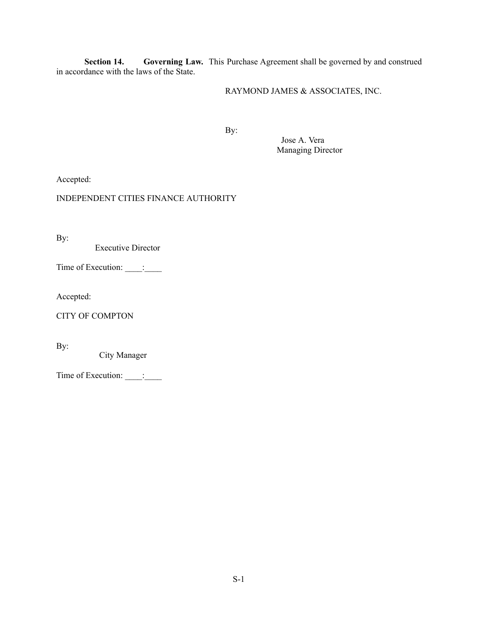**Section 14. Governing Law.** This Purchase Agreement shall be governed by and construed in accordance with the laws of the State.

# RAYMOND JAMES & ASSOCIATES, INC.

By:

Jose A. Vera Managing Director

Accepted:

## INDEPENDENT CITIES FINANCE AUTHORITY

By:

Executive Director

Time of Execution: \_\_\_\_\_: \_\_\_\_\_\_

Accepted:

CITY OF COMPTON

By:

City Manager

Time of Execution: \_\_\_\_\_: \_\_\_\_\_\_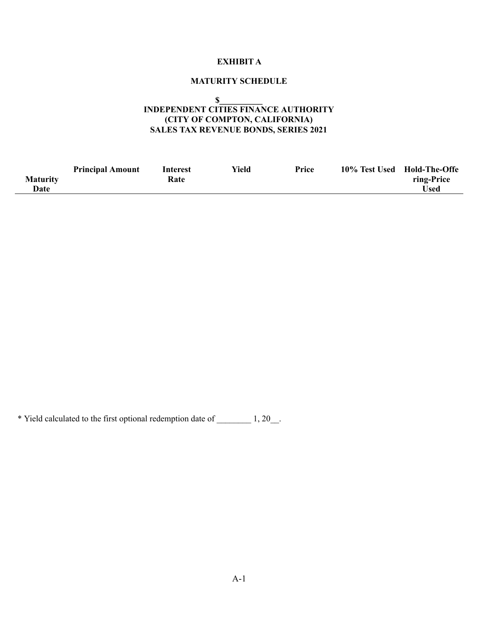# **EXHIBIT A**

# **MATURITY SCHEDULE**

**\$\_\_\_\_\_\_\_\_\_\_**

## **INDEPENDENT CITIES FINANCE AUTHORITY (CITY OF COMPTON, CALIFORNIA) SALES TAX REVENUE BONDS, SERIES 2021**

|                 | <b>Principal Amount</b> | Interest | Yield | Price | 10% Test Used | <b>Hold-The-Offe</b> |
|-----------------|-------------------------|----------|-------|-------|---------------|----------------------|
| <b>Maturity</b> |                         | Rate     |       |       |               | ring-Price           |
| Date            |                         |          |       |       |               | <b>Used</b>          |

\* Yield calculated to the first optional redemption date of \_\_\_\_\_\_\_\_ 1, 20\_\_.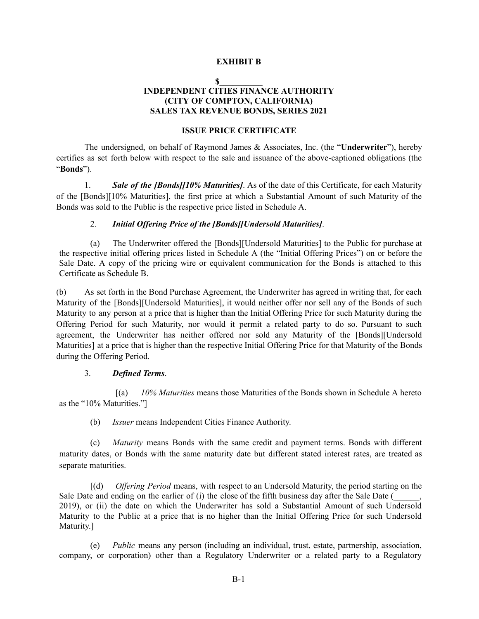### **EXHIBIT B**

### **\$\_\_\_\_\_\_\_\_\_\_ INDEPENDENT CITIES FINANCE AUTHORITY (CITY OF COMPTON, CALIFORNIA) SALES TAX REVENUE BONDS, SERIES 2021**

### **ISSUE PRICE CERTIFICATE**

The undersigned, on behalf of Raymond James & Associates, Inc. (the "**Underwriter**"), hereby certifies as set forth below with respect to the sale and issuance of the above-captioned obligations (the "**Bonds**").

1. *Sale of the [Bonds][10% Maturities]*. As of the date of this Certificate, for each Maturity of the [Bonds][10% Maturities], the first price at which a Substantial Amount of such Maturity of the Bonds was sold to the Public is the respective price listed in Schedule A.

### 2. *Initial Of ering Price of the [Bonds][Undersold Maturities]*.

(a) The Underwriter offered the [Bonds][Undersold Maturities] to the Public for purchase at the respective initial offering prices listed in Schedule A (the "Initial Offering Prices") on or before the Sale Date. A copy of the pricing wire or equivalent communication for the Bonds is attached to this Certificate as Schedule B.

(b) As set forth in the Bond Purchase Agreement, the Underwriter has agreed in writing that, for each Maturity of the [Bonds][Undersold Maturities], it would neither offer nor sell any of the Bonds of such Maturity to any person at a price that is higher than the Initial Offering Price for such Maturity during the Offering Period for such Maturity, nor would it permit a related party to do so. Pursuant to such agreement, the Underwriter has neither offered nor sold any Maturity of the [Bonds][Undersold Maturities] at a price that is higher than the respective Initial Offering Price for that Maturity of the Bonds during the Offering Period.

### 3. *Defined Terms*.

[(a) *10% Maturities* means those Maturities of the Bonds shown in Schedule A hereto as the "10% Maturities."]

(b) *Issuer* means Independent Cities Finance Authority.

(c) *Maturity* means Bonds with the same credit and payment terms. Bonds with different maturity dates, or Bonds with the same maturity date but different stated interest rates, are treated as separate maturities.

[(d) *Offering Period* means, with respect to an Undersold Maturity, the period starting on the Sale Date and ending on the earlier of (i) the close of the fifth business day after the Sale Date ( 2019), or (ii) the date on which the Underwriter has sold a Substantial Amount of such Undersold Maturity to the Public at a price that is no higher than the Initial Offering Price for such Undersold Maturity.]

(e) *Public* means any person (including an individual, trust, estate, partnership, association, company, or corporation) other than a Regulatory Underwriter or a related party to a Regulatory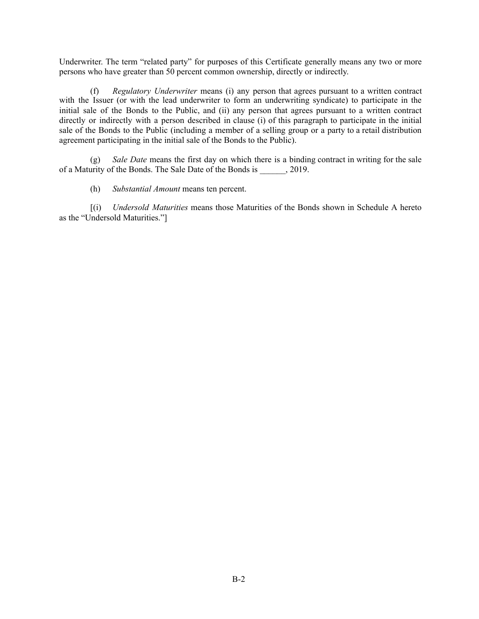Underwriter. The term "related party" for purposes of this Certificate generally means any two or more persons who have greater than 50 percent common ownership, directly or indirectly.

(f) *Regulatory Underwriter* means (i) any person that agrees pursuant to a written contract with the Issuer (or with the lead underwriter to form an underwriting syndicate) to participate in the initial sale of the Bonds to the Public, and (ii) any person that agrees pursuant to a written contract directly or indirectly with a person described in clause (i) of this paragraph to participate in the initial sale of the Bonds to the Public (including a member of a selling group or a party to a retail distribution agreement participating in the initial sale of the Bonds to the Public).

(g) *Sale Date* means the first day on which there is a binding contract in writing for the sale of a Maturity of the Bonds. The Sale Date of the Bonds is  $\qquad \qquad$ , 2019.

(h) *Substantial Amount* means ten percent.

[(i) *Undersold Maturities* means those Maturities of the Bonds shown in Schedule A hereto as the "Undersold Maturities."]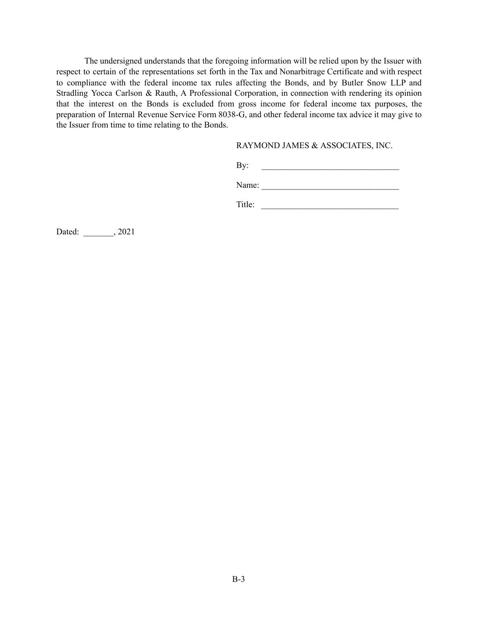The undersigned understands that the foregoing information will be relied upon by the Issuer with respect to certain of the representations set forth in the Tax and Nonarbitrage Certificate and with respect to compliance with the federal income tax rules affecting the Bonds, and by Butler Snow LLP and Stradling Yocca Carlson & Rauth, A Professional Corporation, in connection with rendering its opinion that the interest on the Bonds is excluded from gross income for federal income tax purposes, the preparation of Internal Revenue Service Form 8038-G, and other federal income tax advice it may give to the Issuer from time to time relating to the Bonds.

### RAYMOND JAMES & ASSOCIATES, INC.

 $\mathbf{By:}$ 

Name:

Title:

Dated: \_\_\_\_\_\_\_, 2021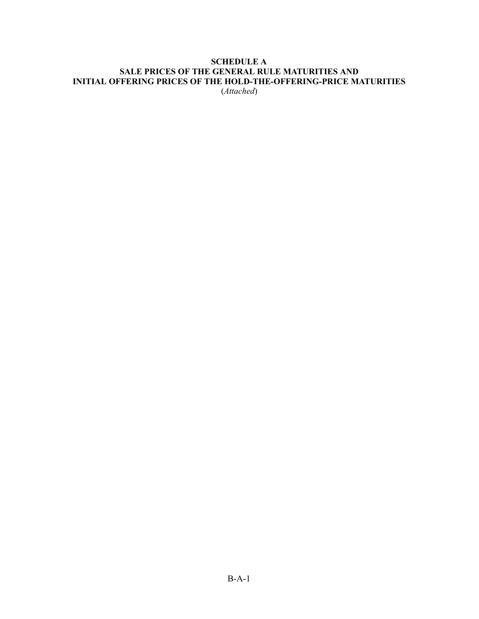## **SCHEDULE A SALE PRICES OF THE GENERAL RULE MATURITIES AND INITIAL OFFERING PRICES OF THE HOLD-THE-OFFERING-PRICE MATURITIES** (*Attached*)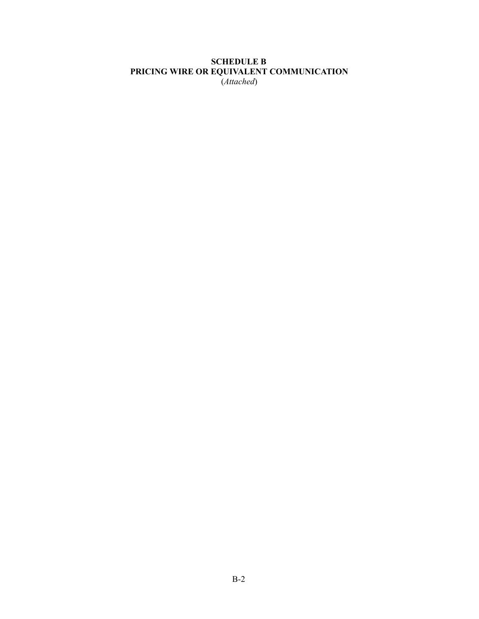# **SCHEDULE B PRICING WIRE OR EQUIVALENT COMMUNICATION**

(*Attached*)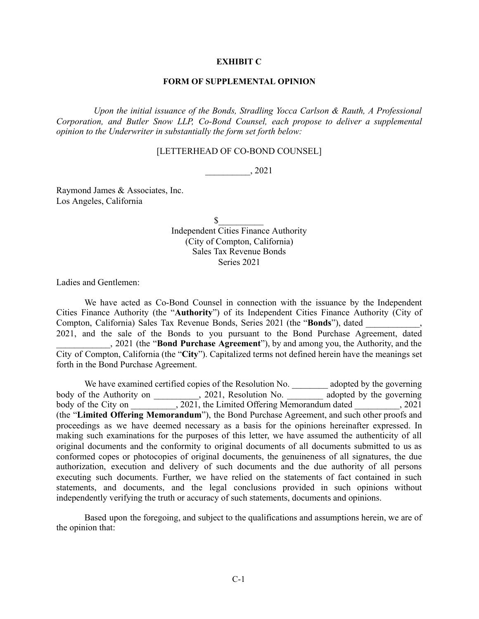### **EXHIBIT C**

### **FORM OF SUPPLEMENTAL OPINION**

*Upon the initial issuance of the Bonds, Stradling Yocca Carlson & Rauth, A Professional Corporation, and Butler Snow LLP, Co-Bond Counsel, each propose to deliver a supplemental opinion to the Underwriter in substantially the form set forth below:*

### [LETTERHEAD OF CO-BOND COUNSEL]

\_\_\_\_\_\_\_\_\_\_, 2021

Raymond James & Associates, Inc. Los Angeles, California

> $\sim$ Independent Cities Finance Authority (City of Compton, California) Sales Tax Revenue Bonds Series 2021

Ladies and Gentlemen:

We have acted as Co-Bond Counsel in connection with the issuance by the Independent Cities Finance Authority (the "**Authority**") of its Independent Cities Finance Authority (City of Compton, California) Sales Tax Revenue Bonds, Series 2021 (the "**Bonds**"), dated 2021, and the sale of the Bonds to you pursuant to the Bond Purchase Agreement, dated

\_\_\_\_\_\_\_\_\_\_\_\_, 2021 (the "**Bond Purchase Agreement**"), by and among you, the Authority, and the City of Compton, California (the "**City**"). Capitalized terms not defined herein have the meanings set forth in the Bond Purchase Agreement.

We have examined certified copies of the Resolution No. \_\_\_\_\_\_\_\_\_ adopted by the governing body of the Authority on \_\_\_\_\_\_\_, 2021, Resolution No. \_\_\_\_\_\_\_ adopted by the governing body of the City on \_\_\_\_\_\_\_\_, 2021, the Limited Offering Memorandum dated \_\_\_\_\_\_\_\_, 2021 (the "**Limited Offering Memorandum**"), the Bond Purchase Agreement, and such other proofs and proceedings as we have deemed necessary as a basis for the opinions hereinafter expressed. In making such examinations for the purposes of this letter, we have assumed the authenticity of all original documents and the conformity to original documents of all documents submitted to us as conformed copes or photocopies of original documents, the genuineness of all signatures, the due authorization, execution and delivery of such documents and the due authority of all persons executing such documents. Further, we have relied on the statements of fact contained in such statements, and documents, and the legal conclusions provided in such opinions without independently verifying the truth or accuracy of such statements, documents and opinions.

Based upon the foregoing, and subject to the qualifications and assumptions herein, we are of the opinion that: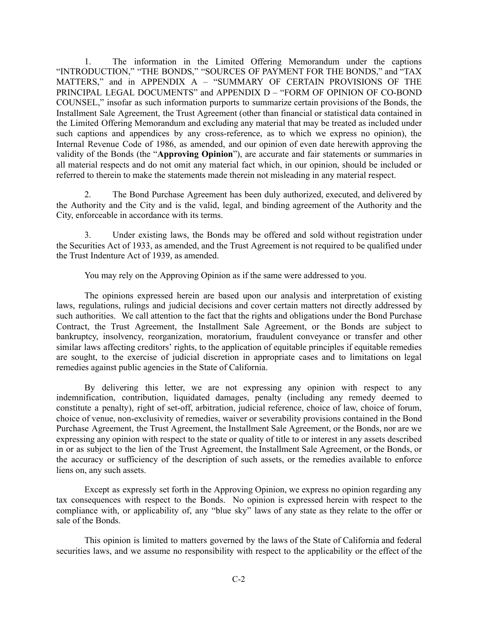1. The information in the Limited Offering Memorandum under the captions "INTRODUCTION," "THE BONDS," "SOURCES OF PAYMENT FOR THE BONDS," and "TAX MATTERS," and in APPENDIX A – "SUMMARY OF CERTAIN PROVISIONS OF THE PRINCIPAL LEGAL DOCUMENTS" and APPENDIX D – "FORM OF OPINION OF CO-BOND COUNSEL," insofar as such information purports to summarize certain provisions of the Bonds, the Installment Sale Agreement, the Trust Agreement (other than financial or statistical data contained in the Limited Offering Memorandum and excluding any material that may be treated as included under such captions and appendices by any cross-reference, as to which we express no opinion), the Internal Revenue Code of 1986, as amended, and our opinion of even date herewith approving the validity of the Bonds (the "**Approving Opinion**"), are accurate and fair statements or summaries in all material respects and do not omit any material fact which, in our opinion, should be included or referred to therein to make the statements made therein not misleading in any material respect.

2. The Bond Purchase Agreement has been duly authorized, executed, and delivered by the Authority and the City and is the valid, legal, and binding agreement of the Authority and the City, enforceable in accordance with its terms.

3. Under existing laws, the Bonds may be offered and sold without registration under the Securities Act of 1933, as amended, and the Trust Agreement is not required to be qualified under the Trust Indenture Act of 1939, as amended.

You may rely on the Approving Opinion as if the same were addressed to you.

The opinions expressed herein are based upon our analysis and interpretation of existing laws, regulations, rulings and judicial decisions and cover certain matters not directly addressed by such authorities. We call attention to the fact that the rights and obligations under the Bond Purchase Contract, the Trust Agreement, the Installment Sale Agreement, or the Bonds are subject to bankruptcy, insolvency, reorganization, moratorium, fraudulent conveyance or transfer and other similar laws affecting creditors' rights, to the application of equitable principles if equitable remedies are sought, to the exercise of judicial discretion in appropriate cases and to limitations on legal remedies against public agencies in the State of California.

By delivering this letter, we are not expressing any opinion with respect to any indemnification, contribution, liquidated damages, penalty (including any remedy deemed to constitute a penalty), right of set-off, arbitration, judicial reference, choice of law, choice of forum, choice of venue, non-exclusivity of remedies, waiver or severability provisions contained in the Bond Purchase Agreement, the Trust Agreement, the Installment Sale Agreement, or the Bonds, nor are we expressing any opinion with respect to the state or quality of title to or interest in any assets described in or as subject to the lien of the Trust Agreement, the Installment Sale Agreement, or the Bonds, or the accuracy or sufficiency of the description of such assets, or the remedies available to enforce liens on, any such assets.

Except as expressly set forth in the Approving Opinion, we express no opinion regarding any tax consequences with respect to the Bonds. No opinion is expressed herein with respect to the compliance with, or applicability of, any "blue sky" laws of any state as they relate to the offer or sale of the Bonds.

This opinion is limited to matters governed by the laws of the State of California and federal securities laws, and we assume no responsibility with respect to the applicability or the effect of the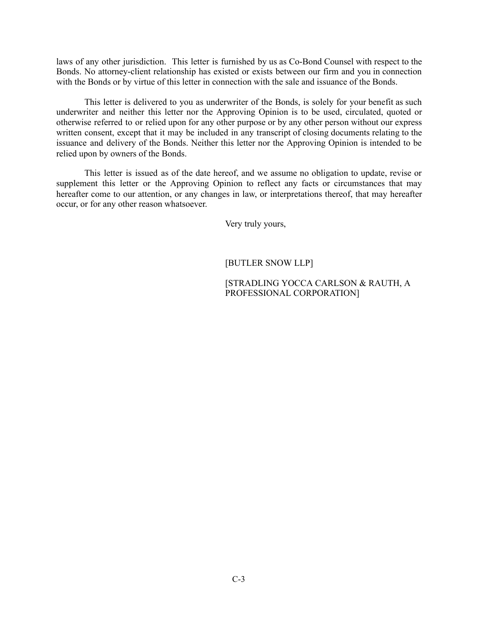laws of any other jurisdiction. This letter is furnished by us as Co-Bond Counsel with respect to the Bonds. No attorney-client relationship has existed or exists between our firm and you in connection with the Bonds or by virtue of this letter in connection with the sale and issuance of the Bonds.

This letter is delivered to you as underwriter of the Bonds, is solely for your benefit as such underwriter and neither this letter nor the Approving Opinion is to be used, circulated, quoted or otherwise referred to or relied upon for any other purpose or by any other person without our express written consent, except that it may be included in any transcript of closing documents relating to the issuance and delivery of the Bonds. Neither this letter nor the Approving Opinion is intended to be relied upon by owners of the Bonds.

This letter is issued as of the date hereof, and we assume no obligation to update, revise or supplement this letter or the Approving Opinion to reflect any facts or circumstances that may hereafter come to our attention, or any changes in law, or interpretations thereof, that may hereafter occur, or for any other reason whatsoever.

Very truly yours,

# [BUTLER SNOW LLP]

## [STRADLING YOCCA CARLSON & RAUTH, A PROFESSIONAL CORPORATION]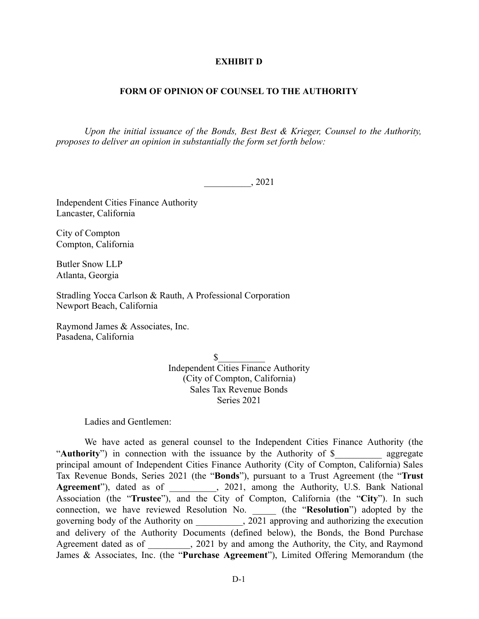### **EXHIBIT D**

### **FORM OF OPINION OF COUNSEL TO THE AUTHORITY**

*Upon the initial issuance of the Bonds, Best Best & Krieger, Counsel to the Authority, proposes to deliver an opinion in substantially the form set forth below:* 

\_\_\_\_\_\_\_\_\_\_, 2021

Independent Cities Finance Authority Lancaster, California

City of Compton Compton, California

Butler Snow LLP Atlanta, Georgia

Stradling Yocca Carlson & Rauth, A Professional Corporation Newport Beach, California

Raymond James & Associates, Inc. Pasadena, California

> $\mathbb{S}$ Independent Cities Finance Authority (City of Compton, California) Sales Tax Revenue Bonds Series 2021

Ladies and Gentlemen:

We have acted as general counsel to the Independent Cities Finance Authority (the "**Authority**") in connection with the issuance by the Authority of \$ principal amount of Independent Cities Finance Authority (City of Compton, California) Sales Tax Revenue Bonds, Series 2021 (the "**Bonds**"), pursuant to a Trust Agreement (the "Trust Agreement"), dated as of  $\qquad \qquad$ , 2021, among the Authority, U.S. Bank National Association (the "**Trustee**"), and the City of Compton, California (the "City"). In such connection, we have reviewed Resolution No. \_\_\_\_\_ (the " **Resolution** ") adopted by the governing body of the Authority on  $\qquad \qquad$ , 2021 approving and authorizing the execution and delivery of the Authority Documents (defined below), the Bonds, the Bond Purchase Agreement dated as of  $\qquad$ , 2021 by and among the Authority, the City, and Raymond James & Associates, Inc. (the "**Purchase Agreement**"), Limited Offering Memorandum (the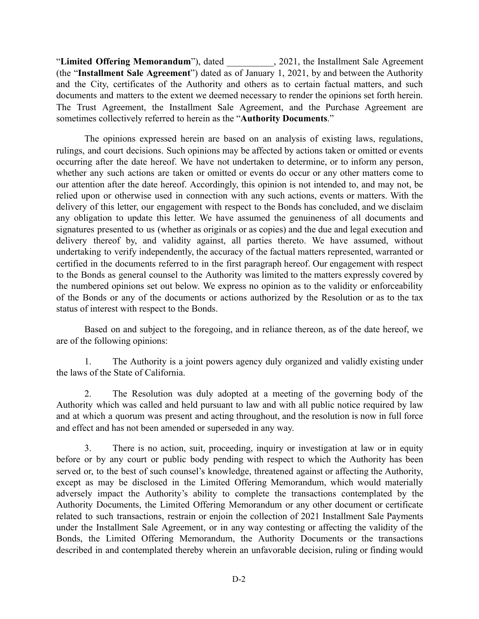"Limited Offering Memorandum"), dated \_\_\_\_\_\_\_\_\_, 2021, the Installment Sale Agreement (the "Installment Sale Agreement") dated as of January 1, 2021, by and between the Authority and the City, certificates of the Authority and others as to certain factual matters, and such documents and matters to the extent we deemed necessary to render the opinions set forth herein. The Trust Agreement, the Installment Sale Agreement, and the Purchase Agreement are sometimes collectively referred to herein as the " **Authority Documents** ."

The opinions expressed herein are based on an analysis of existing laws, regulations, rulings, and court decisions. Such opinions may be affected by actions taken or omitted or events occurring after the date hereof. We have not undertaken to determine, or to inform any person, whether any such actions are taken or omitted or events do occur or any other matters come to our attention after the date hereof. Accordingly, this opinion is not intended to, and may not, be relied upon or otherwise used in connection with any such actions, events or matters. With the delivery of this letter, our engagement with respect to the Bonds has concluded, and we disclaim any obligation to update this letter. We have assumed the genuineness of all documents and signatures presented to us (whether as originals or as copies) and the due and legal execution and delivery thereof by, and validity against, all parties thereto. We have assumed, without undertaking to verify independently, the accuracy of the factual matters represented, warranted or certified in the documents referred to in the first paragraph hereof. Our engagement with respect to the Bonds as general counsel to the Authority was limited to the matters expressly covered by the numbered opinions set out below. We express no opinion as to the validity or enforceability of the Bonds or any of the documents or actions authorized by the Resolution or as to the tax status of interest with respect to the Bonds.

Based on and subject to the foregoing, and in reliance thereon, as of the date hereof, we are of the following opinions:

1. The Authority is a joint powers agency duly organized and validly existing under the laws of the State of California.

2. The Resolution was duly adopted at a meeting of the governing body of the Authority which was called and held pursuant to law and with all public notice required by law and at which a quorum was present and acting throughout, and the resolution is now in full force and effect and has not been amended or superseded in any way.

3. There is no action, suit, proceeding, inquiry or investigation at law or in equity before or by any court or public body pending with respect to which the Authority has been served or, to the best of such counsel's knowledge, threatened against or affecting the Authority, except as may be disclosed in the Limited Offering Memorandum, which would materially adversely impact the Authority's ability to complete the transactions contemplated by the Authority Documents, the Limited Offering Memorandum or any other document or certificate related to such transactions, restrain or enjoin the collection of 2021 Installment Sale Payments under the Installment Sale Agreement, or in any way contesting or affecting the validity of the Bonds, the Limited Offering Memorandum, the Authority Documents or the transactions described in and contemplated thereby wherein an unfavorable decision, ruling or finding would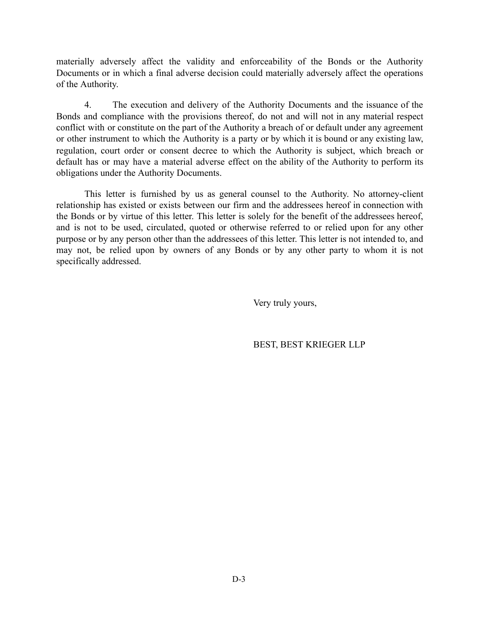materially adversely affect the validity and enforceability of the Bonds or the Authority Documents or in which a final adverse decision could materially adversely affect the operations of the Authority.

4. The execution and delivery of the Authority Documents and the issuance of the Bonds and compliance with the provisions thereof, do not and will not in any material respect conflict with or constitute on the part of the Authority a breach of or default under any agreement or other instrument to which the Authority is a party or by which it is bound or any existing law, regulation, court order or consent decree to which the Authority is subject, which breach or default has or may have a material adverse effect on the ability of the Authority to perform its obligations under the Authority Documents.

This letter is furnished by us as general counsel to the Authority. No attorney-client relationship has existed or exists between our firm and the addressees hereof in connection with the Bonds or by virtue of this letter. This letter is solely for the benefit of the addressees hereof, and is not to be used, circulated, quoted or otherwise referred to or relied upon for any other purpose or by any person other than the addressees of this letter. This letter is not intended to, and may not, be relied upon by owners of any Bonds or by any other party to whom it is not specifically addressed.

Very truly yours,

BEST, BEST KRIEGER LLP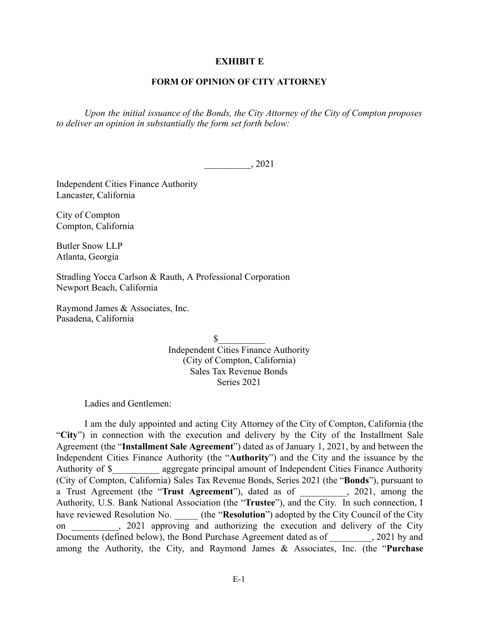### **EXHIBIT E**

## **FORM OF OPINION OF CITY ATTORNEY**

*Upon the initial issuance of the Bonds, the City Attorney of the City of Compton proposes to deliver an opinion in substantially the form set forth below:* 

\_\_\_\_\_\_\_\_\_\_, 2021

Independent Cities Finance Authority Lancaster, California

City of Compton Compton, California

Butler Snow LLP Atlanta, Georgia

Stradling Yocca Carlson & Rauth, A Professional Corporation Newport Beach, California

Raymond James & Associates, Inc. Pasadena, California

> $\sim$ Independent Cities Finance Authority (City of Compton, California) Sales Tax Revenue Bonds Series 2021

Ladies and Gentlemen:

I am the duly appointed and acting City Attorney of the City of Compton, California (the "City") in connection with the execution and delivery by the City of the Installment Sale Agreement (the "Installment Sale Agreement") dated as of January 1, 2021, by and between the Independent Cities Finance Authority (the " **Authority** ") and the City and the issuance by the Authority of \$ aggregate principal amount of Independent Cities Finance Authority (City of Compton, California) Sales Tax Revenue Bonds, Series 2021 (the " **Bonds** "), pursuant to a Trust Agreement (the "Trust Agreement"), dated as of \_\_\_\_\_\_\_\_, 2021, among the Authority, U.S. Bank National Association (the " **Trustee** "), and the City. In such connection, I have reviewed Resolution No. \_\_\_\_\_ (the "Resolution") adopted by the City Council of the City on 2021 approving and authorizing the execution and delivery of the City Documents (defined below), the Bond Purchase Agreement dated as of  $\qquad \qquad$ , 2021 by and among the Authority, the City, and Raymond James & Associates, Inc. (the " **Purchase**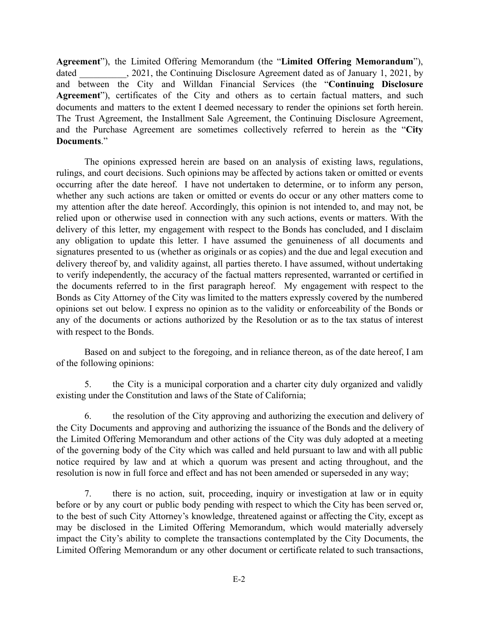Agreement"), the Limited Offering Memorandum (the "Limited Offering Memorandum"), dated  $\qquad \qquad$ , 2021, the Continuing Disclosure Agreement dated as of January 1, 2021, by and between the City and Willdan Financial Services (the "**Continuing Disclosure** Agreement"), certificates of the City and others as to certain factual matters, and such documents and matters to the extent I deemed necessary to render the opinions set forth herein. The Trust Agreement, the Installment Sale Agreement, the Continuing Disclosure Agreement, and the Purchase Agreement are sometimes collectively referred to herein as the "City" **Documents** ."

The opinions expressed herein are based on an analysis of existing laws, regulations, rulings, and court decisions. Such opinions may be affected by actions taken or omitted or events occurring after the date hereof. I have not undertaken to determine, or to inform any person, whether any such actions are taken or omitted or events do occur or any other matters come to my attention after the date hereof. Accordingly, this opinion is not intended to, and may not, be relied upon or otherwise used in connection with any such actions, events or matters. With the delivery of this letter, my engagement with respect to the Bonds has concluded, and I disclaim any obligation to update this letter. I have assumed the genuineness of all documents and signatures presented to us (whether as originals or as copies) and the due and legal execution and delivery thereof by, and validity against, all parties thereto. I have assumed, without undertaking to verify independently, the accuracy of the factual matters represented, warranted or certified in the documents referred to in the first paragraph hereof. My engagement with respect to the Bonds as City Attorney of the City was limited to the matters expressly covered by the numbered opinions set out below. I express no opinion as to the validity or enforceability of the Bonds or any of the documents or actions authorized by the Resolution or as to the tax status of interest with respect to the Bonds.

Based on and subject to the foregoing, and in reliance thereon, as of the date hereof, I am of the following opinions:

5. the City is a municipal corporation and a charter city duly organized and validly existing under the Constitution and laws of the State of California;

6. the resolution of the City approving and authorizing the execution and delivery of the City Documents and approving and authorizing the issuance of the Bonds and the delivery of the Limited Offering Memorandum and other actions of the City was duly adopted at a meeting of the governing body of the City which was called and held pursuant to law and with all public notice required by law and at which a quorum was present and acting throughout, and the resolution is now in full force and effect and has not been amended or superseded in any way;

7. there is no action, suit, proceeding, inquiry or investigation at law or in equity before or by any court or public body pending with respect to which the City has been served or, to the best of such City Attorney's knowledge, threatened against or affecting the City, except as may be disclosed in the Limited Offering Memorandum, which would materially adversely impact the City's ability to complete the transactions contemplated by the City Documents, the Limited Offering Memorandum or any other document or certificate related to such transactions,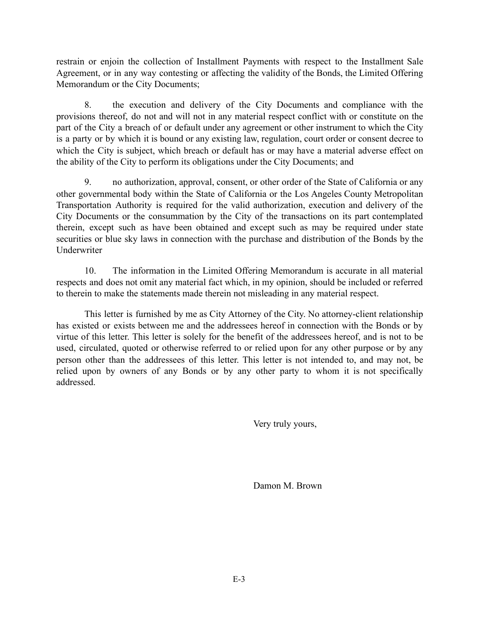restrain or enjoin the collection of Installment Payments with respect to the Installment Sale Agreement, or in any way contesting or affecting the validity of the Bonds, the Limited Offering Memorandum or the City Documents;

8. the execution and delivery of the City Documents and compliance with the provisions thereof, do not and will not in any material respect conflict with or constitute on the part of the City a breach of or default under any agreement or other instrument to which the City is a party or by which it is bound or any existing law, regulation, court order or consent decree to which the City is subject, which breach or default has or may have a material adverse effect on the ability of the City to perform its obligations under the City Documents; and

9. no authorization, approval, consent, or other order of the State of California or any other governmental body within the State of California or the Los Angeles County Metropolitan Transportation Authority is required for the valid authorization, execution and delivery of the City Documents or the consummation by the City of the transactions on its part contemplated therein, except such as have been obtained and except such as may be required under state securities or blue sky laws in connection with the purchase and distribution of the Bonds by the Underwriter

10. The information in the Limited Offering Memorandum is accurate in all material respects and does not omit any material fact which, in my opinion, should be included or referred to therein to make the statements made therein not misleading in any material respect.

This letter is furnished by me as City Attorney of the City. No attorney-client relationship has existed or exists between me and the addressees hereof in connection with the Bonds or by virtue of this letter. This letter is solely for the benefit of the addressees hereof, and is not to be used, circulated, quoted or otherwise referred to or relied upon for any other purpose or by any person other than the addressees of this letter. This letter is not intended to, and may not, be relied upon by owners of any Bonds or by any other party to whom it is not specifically addressed.

Very truly yours,

Damon M. Brown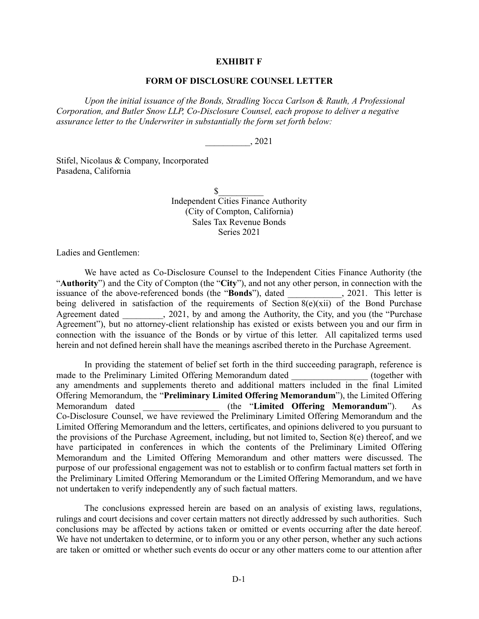### **EXHIBIT F**

### **FORM OF DISCLOSURE COUNSEL LETTER**

*Upon the initial issuance of the Bonds, Stradling Yocca Carlson & Rauth, A Professional Corporation, and Butler Snow LLP, Co-Disclosure Counsel, each propose to deliver a negative assurance letter to the Underwriter in substantially the form set forth below:*

\_\_\_\_\_\_\_\_\_\_, 2021

Stifel, Nicolaus & Company, Incorporated Pasadena, California

> $\sim$ Independent Cities Finance Authority (City of Compton, California) Sales Tax Revenue Bonds Series 2021

Ladies and Gentlemen:

We have acted as Co-Disclosure Counsel to the Independent Cities Finance Authority (the "**Authority**") and the City of Compton (the "City"), and not any other person, in connection with the issuance of the above-referenced bonds (the "Bonds"), dated 2021. This letter is issuance of the above-referenced bonds (the "Bonds"), dated being delivered in satisfaction of the requirements of Section  $8(e)(xii)$  of the Bond Purchase Agreement dated \_\_\_\_\_\_\_, 2021, by and among the Authority, the City, and you (the "Purchase Agreement"), but no attorney-client relationship has existed or exists between you and our firm in connection with the issuance of the Bonds or by virtue of this letter. All capitalized terms used herein and not defined herein shall have the meanings ascribed thereto in the Purchase Agreement.

In providing the statement of belief set forth in the third succeeding paragraph, reference is<br>the Preliminary Limited Offering Memorandum dated (together with made to the Preliminary Limited Offering Memorandum dated any amendments and supplements thereto and additional matters included in the final Limited Offering Memorandum, the "**Preliminary Limited Offering Memorandum**"), the Limited Offering Memorandum dated \_\_\_\_\_\_\_\_\_\_\_\_\_\_\_\_\_ (the "**Limited Offering Memorandum**"). As Co-Disclosure Counsel, we have reviewed the Preliminary Limited Offering Memorandum and the Limited Offering Memorandum and the letters, certificates, and opinions delivered to you pursuant to the provisions of the Purchase Agreement, including, but not limited to, Section 8(e) thereof, and we have participated in conferences in which the contents of the Preliminary Limited Offering Memorandum and the Limited Offering Memorandum and other matters were discussed. The purpose of our professional engagement was not to establish or to confirm factual matters set forth in the Preliminary Limited Offering Memorandum or the Limited Offering Memorandum, and we have not undertaken to verify independently any of such factual matters.

The conclusions expressed herein are based on an analysis of existing laws, regulations, rulings and court decisions and cover certain matters not directly addressed by such authorities. Such conclusions may be affected by actions taken or omitted or events occurring after the date hereof. We have not undertaken to determine, or to inform you or any other person, whether any such actions are taken or omitted or whether such events do occur or any other matters come to our attention after

D-1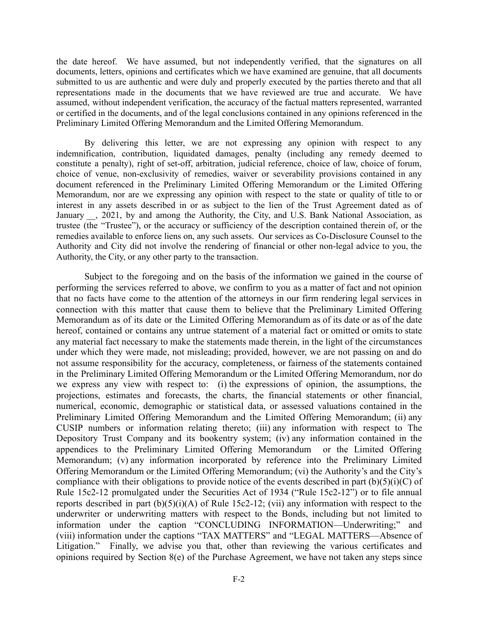the date hereof. We have assumed, but not independently verified, that the signatures on all documents, letters, opinions and certificates which we have examined are genuine, that all documents submitted to us are authentic and were duly and properly executed by the parties thereto and that all representations made in the documents that we have reviewed are true and accurate. We have assumed, without independent verification, the accuracy of the factual matters represented, warranted or certified in the documents, and of the legal conclusions contained in any opinions referenced in the Preliminary Limited Offering Memorandum and the Limited Offering Memorandum.

By delivering this letter, we are not expressing any opinion with respect to any indemnification, contribution, liquidated damages, penalty (including any remedy deemed to constitute a penalty), right of set-off, arbitration, judicial reference, choice of law, choice of forum, choice of venue, non-exclusivity of remedies, waiver or severability provisions contained in any document referenced in the Preliminary Limited Offering Memorandum or the Limited Offering Memorandum, nor are we expressing any opinion with respect to the state or quality of title to or interest in any assets described in or as subject to the lien of the Trust Agreement dated as of January , 2021, by and among the Authority, the City, and U.S. Bank National Association, as trustee (the "Trustee"), or the accuracy or sufficiency of the description contained therein of, or the remedies available to enforce liens on, any such assets. Our services as Co-Disclosure Counsel to the Authority and City did not involve the rendering of financial or other non-legal advice to you, the Authority, the City, or any other party to the transaction.

Subject to the foregoing and on the basis of the information we gained in the course of performing the services referred to above, we confirm to you as a matter of fact and not opinion that no facts have come to the attention of the attorneys in our firm rendering legal services in connection with this matter that cause them to believe that the Preliminary Limited Offering Memorandum as of its date or the Limited Offering Memorandum as of its date or as of the date hereof, contained or contains any untrue statement of a material fact or omitted or omits to state any material fact necessary to make the statements made therein, in the light of the circumstances under which they were made, not misleading; provided, however, we are not passing on and do not assume responsibility for the accuracy, completeness, or fairness of the statements contained in the Preliminary Limited Offering Memorandum or the Limited Offering Memorandum, nor do we express any view with respect to: (i) the expressions of opinion, the assumptions, the projections, estimates and forecasts, the charts, the financial statements or other financial, numerical, economic, demographic or statistical data, or assessed valuations contained in the Preliminary Limited Offering Memorandum and the Limited Offering Memorandum; (ii) any CUSIP numbers or information relating thereto; (iii) any information with respect to The Depository Trust Company and its bookentry system; (iv) any information contained in the appendices to the Preliminary Limited Offering Memorandum or the Limited Offering Memorandum; (v) any information incorporated by reference into the Preliminary Limited Offering Memorandum or the Limited Offering Memorandum; (vi) the Authority's and the City's compliance with their obligations to provide notice of the events described in part  $(b)(5)(i)(C)$  of Rule 15c2-12 promulgated under the Securities Act of 1934 ("Rule 15c2-12") or to file annual reports described in part  $(b)(5)(i)(A)$  of Rule 15c2-12; (vii) any information with respect to the underwriter or underwriting matters with respect to the Bonds, including but not limited to information under the caption "CONCLUDING INFORMATION—Underwriting;" and (viii) information under the captions "TAX MATTERS" and "LEGAL MATTERS—Absence of Litigation." Finally, we advise you that, other than reviewing the various certificates and opinions required by Section 8(e) of the Purchase Agreement, we have not taken any steps since